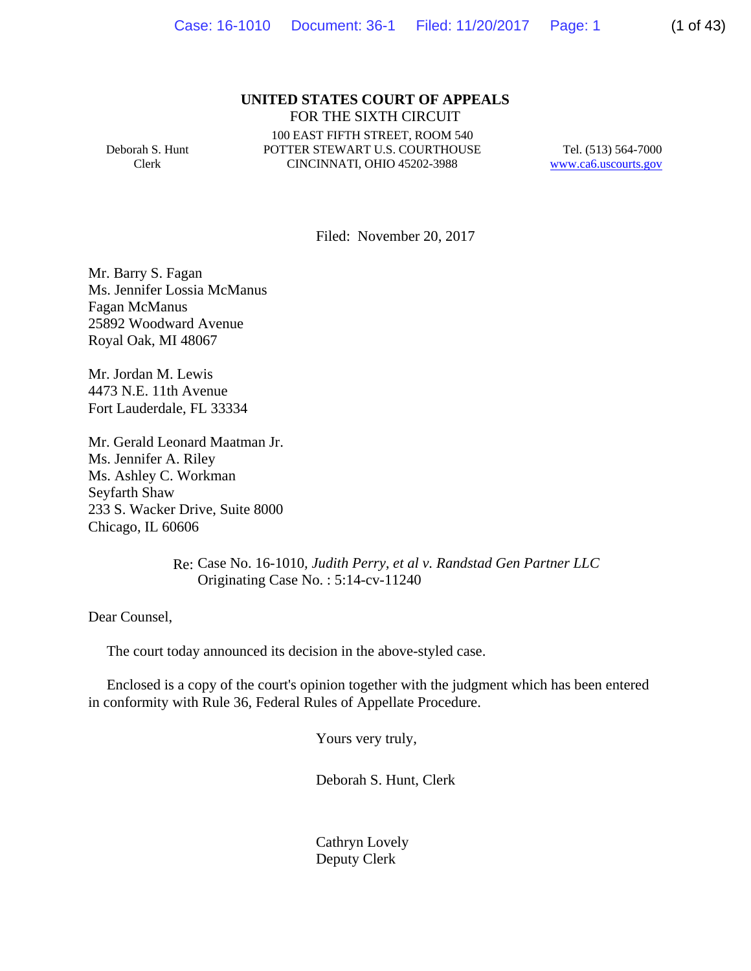#### **UNITED STATES COURT OF APPEALS** FOR THE SIXTH CIRCUIT

Deborah S. Hunt Clerk

100 EAST FIFTH STREET, ROOM 540 POTTER STEWART U.S. COURTHOUSE CINCINNATI, OHIO 45202-3988

Tel. (513) 564-7000 www.ca6.uscourts.gov

Filed: November 20, 2017

Mr. Barry S. Fagan Ms. Jennifer Lossia McManus Fagan McManus 25892 Woodward Avenue Royal Oak, MI 48067

Mr. Jordan M. Lewis 4473 N.E. 11th Avenue Fort Lauderdale, FL 33334

Mr. Gerald Leonard Maatman Jr. Ms. Jennifer A. Riley Ms. Ashley C. Workman Seyfarth Shaw 233 S. Wacker Drive, Suite 8000 Chicago, IL 60606

> Re: Case No. 16-1010*, Judith Perry, et al v. Randstad Gen Partner LLC* Originating Case No. : 5:14-cv-11240

Dear Counsel,

The court today announced its decision in the above-styled case.

 Enclosed is a copy of the court's opinion together with the judgment which has been entered in conformity with Rule 36, Federal Rules of Appellate Procedure.

Yours very truly,

Deborah S. Hunt, Clerk

 Cathryn Lovely Deputy Clerk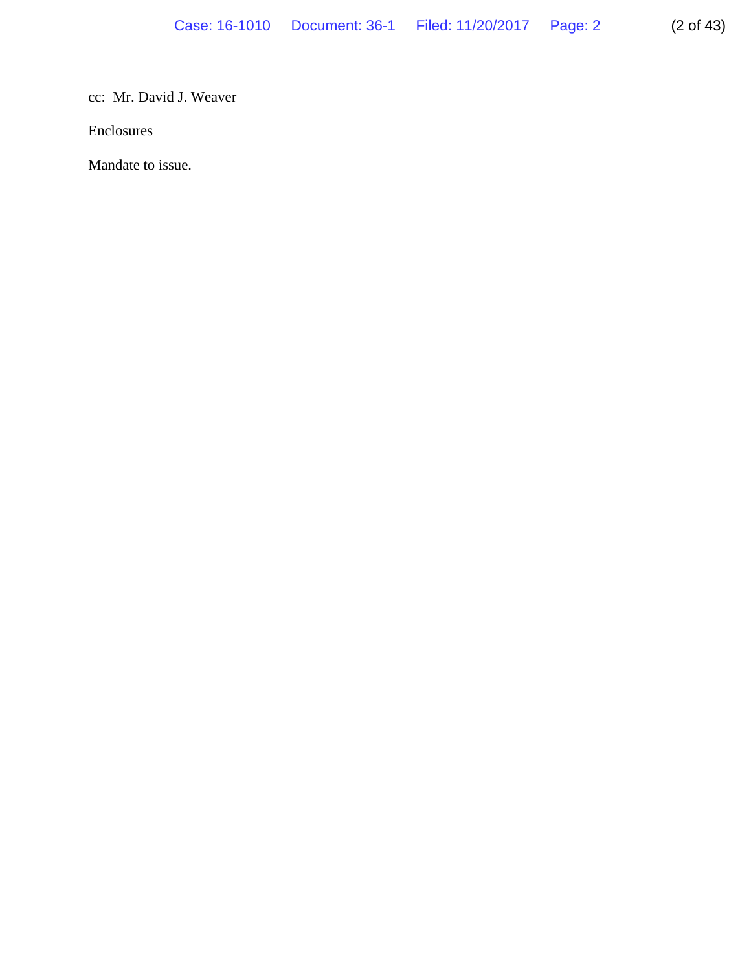# cc: Mr. David J. Weaver

Enclosures

Mandate to issue.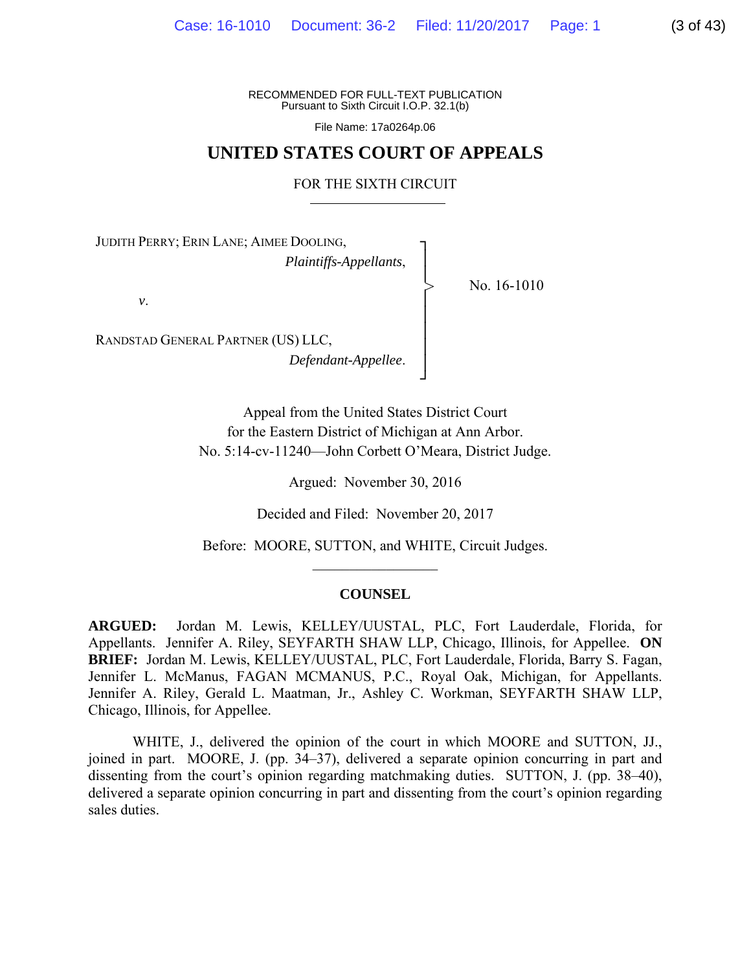RECOMMENDED FOR FULL-TEXT PUBLICATION Pursuant to Sixth Circuit I.O.P. 32.1(b)

File Name: 17a0264p.06

# **UNITED STATES COURT OF APPEALS**

FOR THE SIXTH CIRCUIT

┐ │ │ │ │ │ │ │ ┘

>

No. 16-1010

JUDITH PERRY; ERIN LANE; AIMEE DOOLING,

*Plaintiffs-Appellants*,

*v*.

RANDSTAD GENERAL PARTNER (US) LLC, *Defendant-Appellee*.

> Appeal from the United States District Court for the Eastern District of Michigan at Ann Arbor. No. 5:14-cv-11240—John Corbett O'Meara, District Judge.

> > Argued: November 30, 2016

Decided and Filed: November 20, 2017

Before: MOORE, SUTTON, and WHITE, Circuit Judges.  $\frac{1}{2}$  ,  $\frac{1}{2}$  ,  $\frac{1}{2}$  ,  $\frac{1}{2}$  ,  $\frac{1}{2}$  ,  $\frac{1}{2}$  ,  $\frac{1}{2}$  ,  $\frac{1}{2}$ 

#### **COUNSEL**

**ARGUED:** Jordan M. Lewis, KELLEY/UUSTAL, PLC, Fort Lauderdale, Florida, for Appellants. Jennifer A. Riley, SEYFARTH SHAW LLP, Chicago, Illinois, for Appellee. **ON BRIEF:** Jordan M. Lewis, KELLEY/UUSTAL, PLC, Fort Lauderdale, Florida, Barry S. Fagan, Jennifer L. McManus, FAGAN MCMANUS, P.C., Royal Oak, Michigan, for Appellants. Jennifer A. Riley, Gerald L. Maatman, Jr., Ashley C. Workman, SEYFARTH SHAW LLP, Chicago, Illinois, for Appellee.

 WHITE, J., delivered the opinion of the court in which MOORE and SUTTON, JJ., joined in part. MOORE, J. (pp. 34–37), delivered a separate opinion concurring in part and dissenting from the court's opinion regarding matchmaking duties. SUTTON, J. (pp. 38–40), delivered a separate opinion concurring in part and dissenting from the court's opinion regarding sales duties.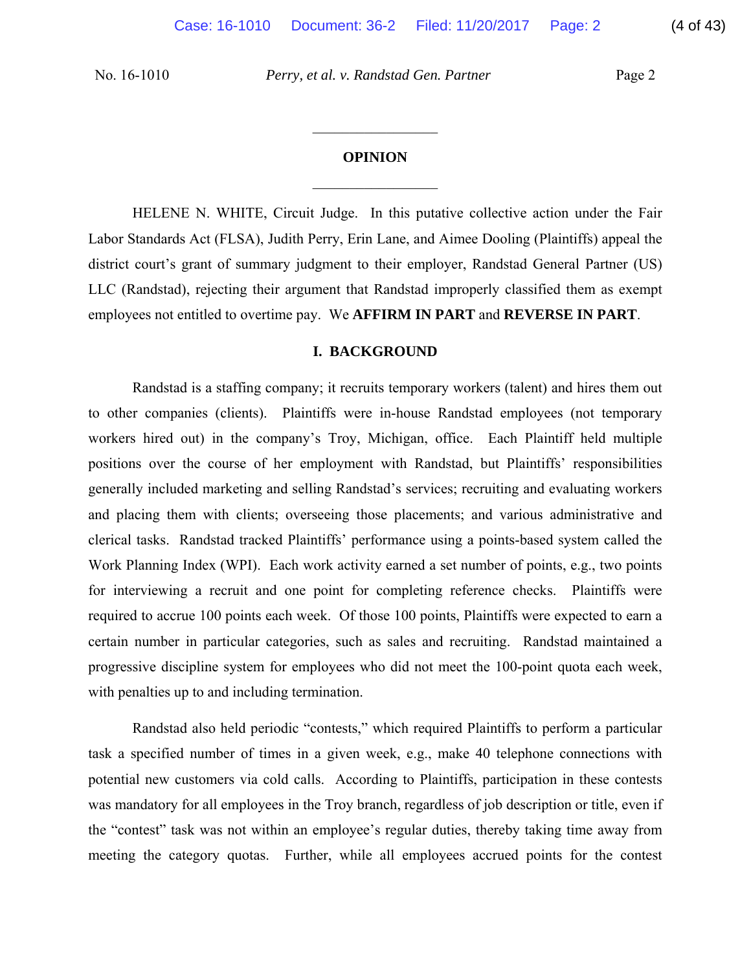## **OPINION**

 $\frac{1}{2}$ 

 $\frac{1}{2}$ 

HELENE N. WHITE, Circuit Judge. In this putative collective action under the Fair Labor Standards Act (FLSA), Judith Perry, Erin Lane, and Aimee Dooling (Plaintiffs) appeal the district court's grant of summary judgment to their employer, Randstad General Partner (US) LLC (Randstad), rejecting their argument that Randstad improperly classified them as exempt employees not entitled to overtime pay. We **AFFIRM IN PART** and **REVERSE IN PART**.

#### **I. BACKGROUND**

Randstad is a staffing company; it recruits temporary workers (talent) and hires them out to other companies (clients). Plaintiffs were in-house Randstad employees (not temporary workers hired out) in the company's Troy, Michigan, office. Each Plaintiff held multiple positions over the course of her employment with Randstad, but Plaintiffs' responsibilities generally included marketing and selling Randstad's services; recruiting and evaluating workers and placing them with clients; overseeing those placements; and various administrative and clerical tasks. Randstad tracked Plaintiffs' performance using a points-based system called the Work Planning Index (WPI). Each work activity earned a set number of points, e.g., two points for interviewing a recruit and one point for completing reference checks. Plaintiffs were required to accrue 100 points each week. Of those 100 points, Plaintiffs were expected to earn a certain number in particular categories, such as sales and recruiting. Randstad maintained a progressive discipline system for employees who did not meet the 100-point quota each week, with penalties up to and including termination.

Randstad also held periodic "contests," which required Plaintiffs to perform a particular task a specified number of times in a given week, e.g., make 40 telephone connections with potential new customers via cold calls. According to Plaintiffs, participation in these contests was mandatory for all employees in the Troy branch, regardless of job description or title, even if the "contest" task was not within an employee's regular duties, thereby taking time away from meeting the category quotas. Further, while all employees accrued points for the contest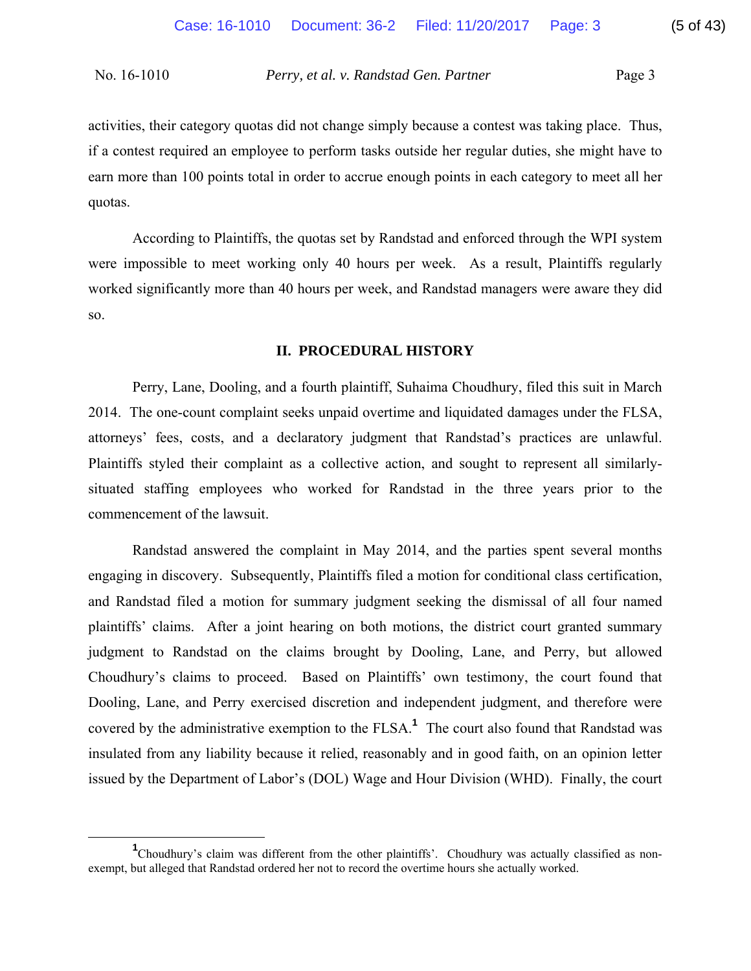activities, their category quotas did not change simply because a contest was taking place. Thus, if a contest required an employee to perform tasks outside her regular duties, she might have to earn more than 100 points total in order to accrue enough points in each category to meet all her quotas.

According to Plaintiffs, the quotas set by Randstad and enforced through the WPI system were impossible to meet working only 40 hours per week. As a result, Plaintiffs regularly worked significantly more than 40 hours per week, and Randstad managers were aware they did so.

#### **II. PROCEDURAL HISTORY**

Perry, Lane, Dooling, and a fourth plaintiff, Suhaima Choudhury, filed this suit in March 2014. The one-count complaint seeks unpaid overtime and liquidated damages under the FLSA, attorneys' fees, costs, and a declaratory judgment that Randstad's practices are unlawful. Plaintiffs styled their complaint as a collective action, and sought to represent all similarlysituated staffing employees who worked for Randstad in the three years prior to the commencement of the lawsuit.

Randstad answered the complaint in May 2014, and the parties spent several months engaging in discovery. Subsequently, Plaintiffs filed a motion for conditional class certification, and Randstad filed a motion for summary judgment seeking the dismissal of all four named plaintiffs' claims. After a joint hearing on both motions, the district court granted summary judgment to Randstad on the claims brought by Dooling, Lane, and Perry, but allowed Choudhury's claims to proceed. Based on Plaintiffs' own testimony, the court found that Dooling, Lane, and Perry exercised discretion and independent judgment, and therefore were covered by the administrative exemption to the FLSA.**<sup>1</sup>** The court also found that Randstad was insulated from any liability because it relied, reasonably and in good faith, on an opinion letter issued by the Department of Labor's (DOL) Wage and Hour Division (WHD). Finally, the court

<sup>&</sup>lt;u>1</u> <sup>1</sup>Choudhury's claim was different from the other plaintiffs'. Choudhury was actually classified as nonexempt, but alleged that Randstad ordered her not to record the overtime hours she actually worked.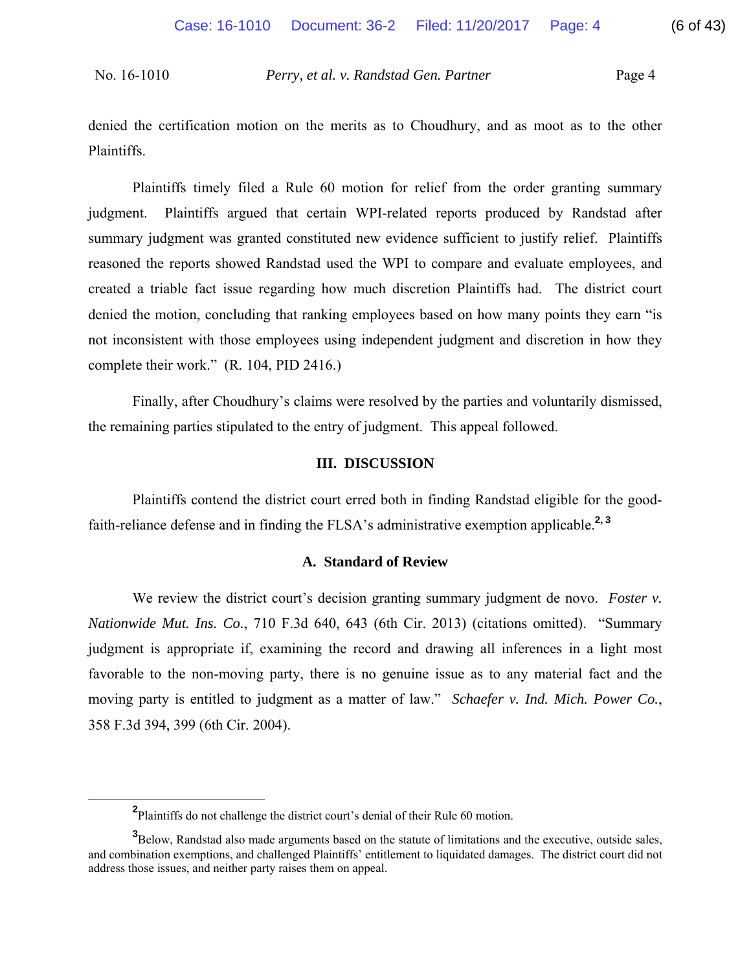denied the certification motion on the merits as to Choudhury, and as moot as to the other Plaintiffs.

Plaintiffs timely filed a Rule 60 motion for relief from the order granting summary judgment. Plaintiffs argued that certain WPI-related reports produced by Randstad after summary judgment was granted constituted new evidence sufficient to justify relief. Plaintiffs reasoned the reports showed Randstad used the WPI to compare and evaluate employees, and created a triable fact issue regarding how much discretion Plaintiffs had. The district court denied the motion, concluding that ranking employees based on how many points they earn "is not inconsistent with those employees using independent judgment and discretion in how they complete their work." (R*.* 104, PID 2416.)

Finally, after Choudhury's claims were resolved by the parties and voluntarily dismissed, the remaining parties stipulated to the entry of judgment. This appeal followed.

#### **III. DISCUSSION**

Plaintiffs contend the district court erred both in finding Randstad eligible for the goodfaith-reliance defense and in finding the FLSA's administrative exemption applicable.**2, <sup>3</sup>**

### **A. Standard of Review**

We review the district court's decision granting summary judgment de novo. *Foster v. Nationwide Mut. Ins. Co.*, 710 F.3d 640, 643 (6th Cir. 2013) (citations omitted). "Summary judgment is appropriate if, examining the record and drawing all inferences in a light most favorable to the non-moving party, there is no genuine issue as to any material fact and the moving party is entitled to judgment as a matter of law." *Schaefer v. Ind. Mich. Power Co.*, 358 F.3d 394, 399 (6th Cir. 2004).

**<sup>2</sup>** <sup>2</sup>Plaintiffs do not challenge the district court's denial of their Rule 60 motion.

**<sup>3</sup>** Below, Randstad also made arguments based on the statute of limitations and the executive, outside sales, and combination exemptions, and challenged Plaintiffs' entitlement to liquidated damages. The district court did not address those issues, and neither party raises them on appeal.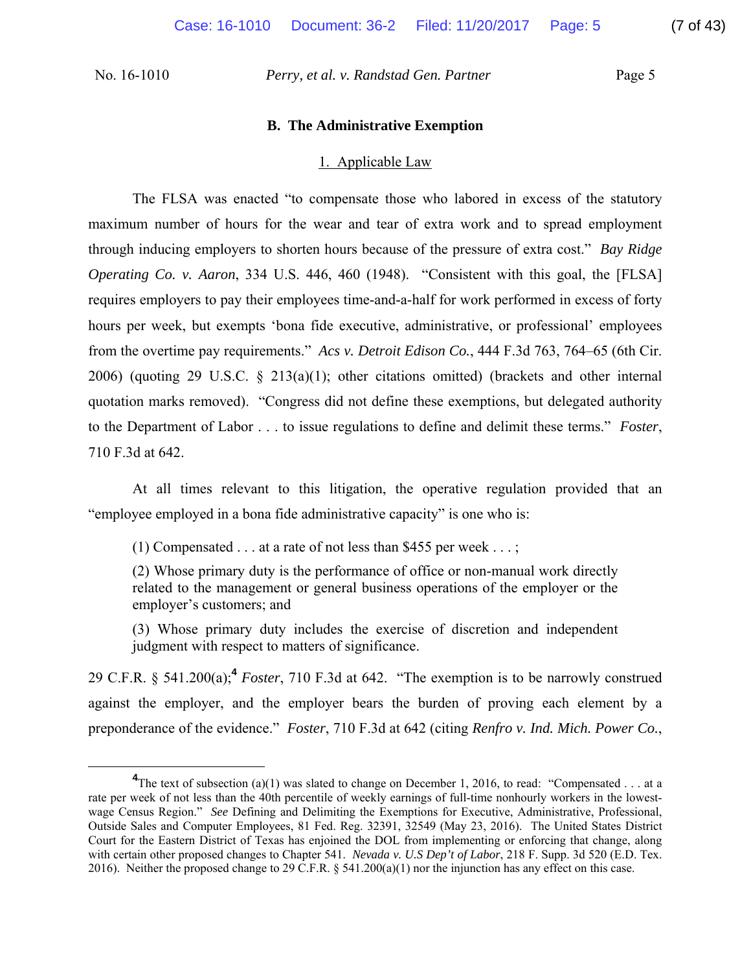#### **B. The Administrative Exemption**

#### 1. Applicable Law

The FLSA was enacted "to compensate those who labored in excess of the statutory maximum number of hours for the wear and tear of extra work and to spread employment through inducing employers to shorten hours because of the pressure of extra cost." *Bay Ridge Operating Co. v. Aaron*, 334 U.S. 446, 460 (1948). "Consistent with this goal, the [FLSA] requires employers to pay their employees time-and-a-half for work performed in excess of forty hours per week, but exempts 'bona fide executive, administrative, or professional' employees from the overtime pay requirements." *Acs v. Detroit Edison Co.*, 444 F.3d 763, 764–65 (6th Cir. 2006) (quoting 29 U.S.C. § 213(a)(1); other citations omitted) (brackets and other internal quotation marks removed). "Congress did not define these exemptions, but delegated authority to the Department of Labor . . . to issue regulations to define and delimit these terms." *Foster*, 710 F.3d at 642.

At all times relevant to this litigation, the operative regulation provided that an "employee employed in a bona fide administrative capacity" is one who is:

(1) Compensated  $\dots$  at a rate of not less than \$455 per week  $\dots$ ;

(2) Whose primary duty is the performance of office or non-manual work directly related to the management or general business operations of the employer or the employer's customers; and

(3) Whose primary duty includes the exercise of discretion and independent judgment with respect to matters of significance.

29 C.F.R. § 541.200(a);**<sup>4</sup>** *Foster*, 710 F.3d at 642. "The exemption is to be narrowly construed against the employer, and the employer bears the burden of proving each element by a preponderance of the evidence." *Foster*, 710 F.3d at 642 (citing *Renfro v. Ind. Mich. Power Co.*,

**<sup>4</sup>** <sup>4</sup>The text of subsection (a)(1) was slated to change on December 1, 2016, to read: "Compensated . . . at a rate per week of not less than the 40th percentile of weekly earnings of full-time nonhourly workers in the lowestwage Census Region." *See* Defining and Delimiting the Exemptions for Executive, Administrative, Professional, Outside Sales and Computer Employees, 81 Fed. Reg. 32391, 32549 (May 23, 2016). The United States District Court for the Eastern District of Texas has enjoined the DOL from implementing or enforcing that change, along with certain other proposed changes to Chapter 541. *Nevada v. U.S Dep't of Labor*, 218 F. Supp. 3d 520 (E.D. Tex. 2016). Neither the proposed change to 29 C.F.R. § 541.200(a)(1) nor the injunction has any effect on this case.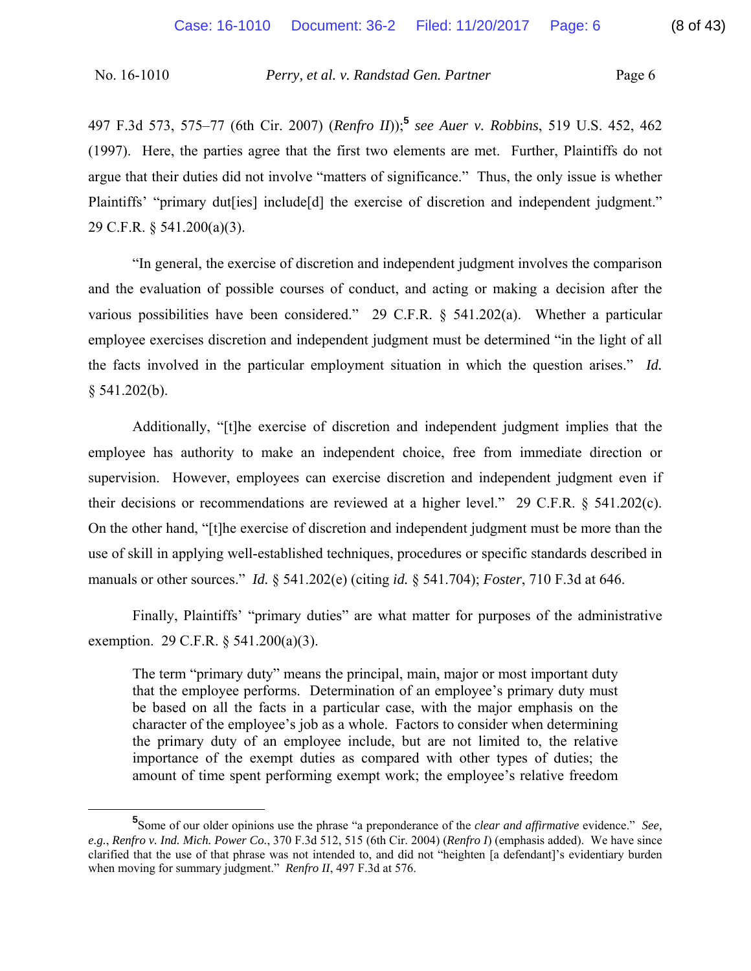497 F.3d 573, 575–77 (6th Cir. 2007) (*Renfro II*));**<sup>5</sup>** *see Auer v. Robbins*, 519 U.S. 452, 462 (1997). Here, the parties agree that the first two elements are met. Further, Plaintiffs do not argue that their duties did not involve "matters of significance." Thus, the only issue is whether Plaintiffs' "primary dut[ies] include[d] the exercise of discretion and independent judgment." 29 C.F.R. § 541.200(a)(3).

"In general, the exercise of discretion and independent judgment involves the comparison and the evaluation of possible courses of conduct, and acting or making a decision after the various possibilities have been considered." 29 C.F.R. § 541.202(a). Whether a particular employee exercises discretion and independent judgment must be determined "in the light of all the facts involved in the particular employment situation in which the question arises." *Id.*  $§ 541.202(b).$ 

Additionally, "[t]he exercise of discretion and independent judgment implies that the employee has authority to make an independent choice, free from immediate direction or supervision. However, employees can exercise discretion and independent judgment even if their decisions or recommendations are reviewed at a higher level." 29 C.F.R. § 541.202(c). On the other hand, "[t]he exercise of discretion and independent judgment must be more than the use of skill in applying well-established techniques, procedures or specific standards described in manuals or other sources." *Id.* § 541.202(e) (citing *id.* § 541.704); *Foster*, 710 F.3d at 646.

Finally, Plaintiffs' "primary duties" are what matter for purposes of the administrative exemption. 29 C.F.R. § 541.200(a)(3).

The term "primary duty" means the principal, main, major or most important duty that the employee performs. Determination of an employee's primary duty must be based on all the facts in a particular case, with the major emphasis on the character of the employee's job as a whole. Factors to consider when determining the primary duty of an employee include, but are not limited to, the relative importance of the exempt duties as compared with other types of duties; the amount of time spent performing exempt work; the employee's relative freedom

**<sup>5</sup>** Some of our older opinions use the phrase "a preponderance of the *clear and affirmative* evidence." *See, e.g.*, *Renfro v. Ind. Mich. Power Co.*, 370 F.3d 512, 515 (6th Cir. 2004) (*Renfro I*) (emphasis added). We have since clarified that the use of that phrase was not intended to, and did not "heighten [a defendant]'s evidentiary burden when moving for summary judgment." *Renfro II*, 497 F.3d at 576.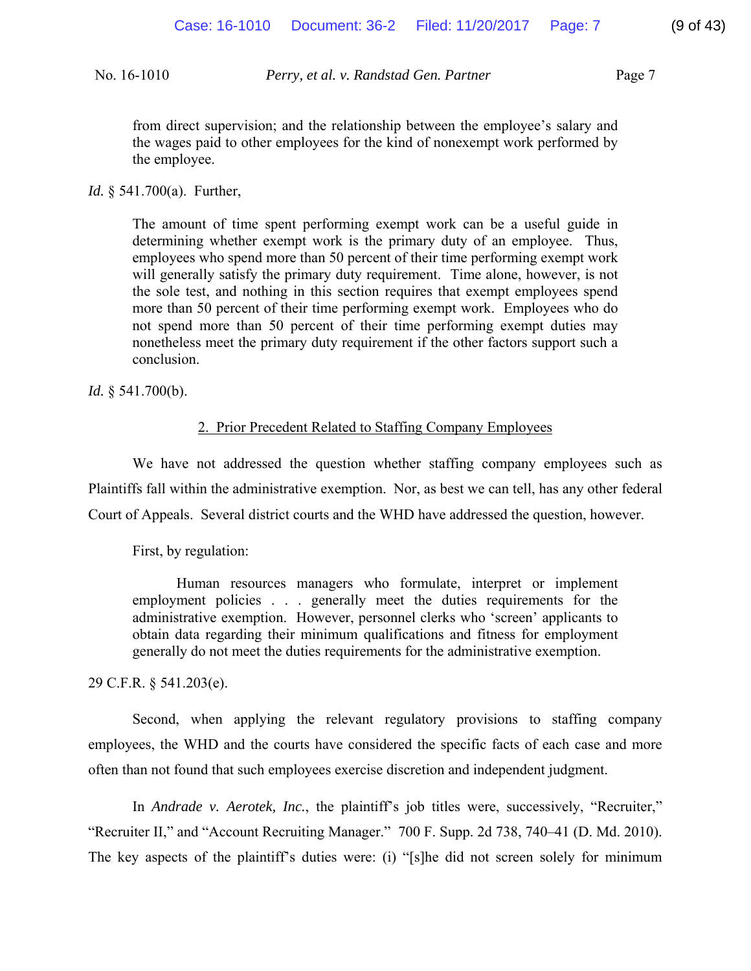from direct supervision; and the relationship between the employee's salary and the wages paid to other employees for the kind of nonexempt work performed by the employee.

#### *Id.* § 541.700(a). Further,

The amount of time spent performing exempt work can be a useful guide in determining whether exempt work is the primary duty of an employee. Thus, employees who spend more than 50 percent of their time performing exempt work will generally satisfy the primary duty requirement. Time alone, however, is not the sole test, and nothing in this section requires that exempt employees spend more than 50 percent of their time performing exempt work. Employees who do not spend more than 50 percent of their time performing exempt duties may nonetheless meet the primary duty requirement if the other factors support such a conclusion.

*Id.* § 541.700(b).

#### 2. Prior Precedent Related to Staffing Company Employees

We have not addressed the question whether staffing company employees such as Plaintiffs fall within the administrative exemption. Nor, as best we can tell, has any other federal Court of Appeals. Several district courts and the WHD have addressed the question, however.

First, by regulation:

Human resources managers who formulate, interpret or implement employment policies . . . generally meet the duties requirements for the administrative exemption. However, personnel clerks who 'screen' applicants to obtain data regarding their minimum qualifications and fitness for employment generally do not meet the duties requirements for the administrative exemption.

29 C.F.R. § 541.203(e).

Second, when applying the relevant regulatory provisions to staffing company employees, the WHD and the courts have considered the specific facts of each case and more often than not found that such employees exercise discretion and independent judgment.

In *Andrade v. Aerotek, Inc.*, the plaintiff's job titles were, successively, "Recruiter," "Recruiter II," and "Account Recruiting Manager." 700 F. Supp. 2d 738, 740–41 (D. Md. 2010). The key aspects of the plaintiff's duties were: (i) "[s]he did not screen solely for minimum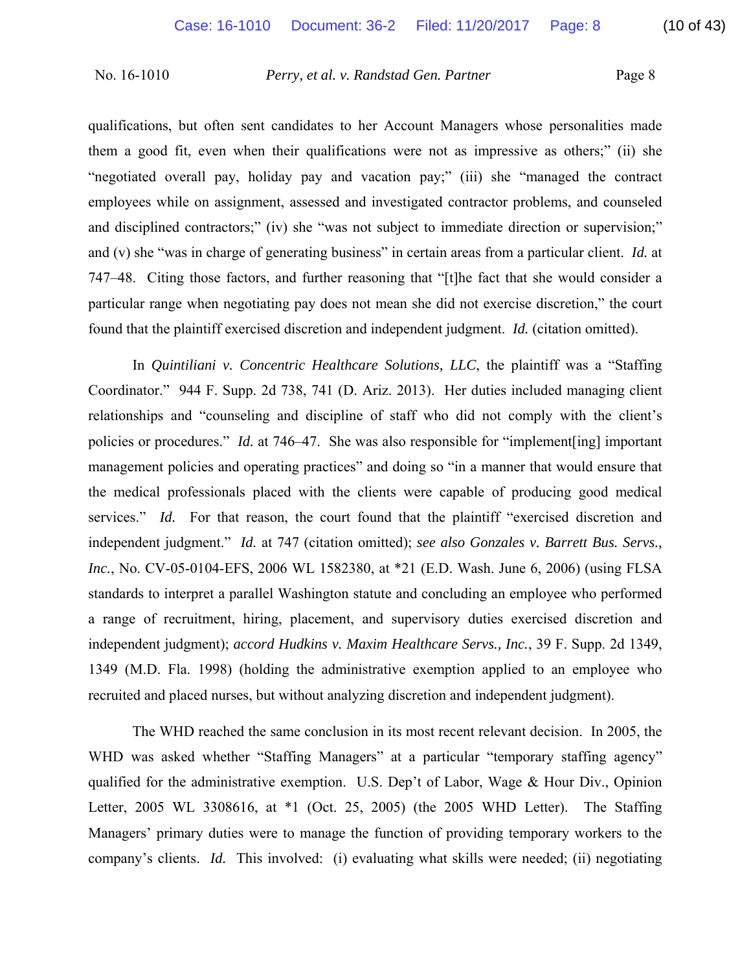qualifications, but often sent candidates to her Account Managers whose personalities made them a good fit, even when their qualifications were not as impressive as others;" (ii) she "negotiated overall pay, holiday pay and vacation pay;" (iii) she "managed the contract employees while on assignment, assessed and investigated contractor problems, and counseled and disciplined contractors;" (iv) she "was not subject to immediate direction or supervision;" and (v) she "was in charge of generating business" in certain areas from a particular client. *Id.* at 747–48. Citing those factors, and further reasoning that "[t]he fact that she would consider a particular range when negotiating pay does not mean she did not exercise discretion," the court found that the plaintiff exercised discretion and independent judgment. *Id.* (citation omitted).

In *Quintiliani v. Concentric Healthcare Solutions, LLC*, the plaintiff was a "Staffing Coordinator." 944 F. Supp. 2d 738, 741 (D. Ariz. 2013). Her duties included managing client relationships and "counseling and discipline of staff who did not comply with the client's policies or procedures." *Id.* at 746–47. She was also responsible for "implement[ing] important management policies and operating practices" and doing so "in a manner that would ensure that the medical professionals placed with the clients were capable of producing good medical services." *Id.* For that reason, the court found that the plaintiff "exercised discretion and independent judgment." *Id.* at 747 (citation omitted); *see also Gonzales v. Barrett Bus. Servs., Inc.*, No. CV-05-0104-EFS, 2006 WL 1582380, at \*21 (E.D. Wash. June 6, 2006) (using FLSA standards to interpret a parallel Washington statute and concluding an employee who performed a range of recruitment, hiring, placement, and supervisory duties exercised discretion and independent judgment); *accord Hudkins v. Maxim Healthcare Servs., Inc.*, 39 F. Supp. 2d 1349, 1349 (M.D. Fla. 1998) (holding the administrative exemption applied to an employee who recruited and placed nurses, but without analyzing discretion and independent judgment).

The WHD reached the same conclusion in its most recent relevant decision. In 2005, the WHD was asked whether "Staffing Managers" at a particular "temporary staffing agency" qualified for the administrative exemption. U.S. Dep't of Labor, Wage & Hour Div., Opinion Letter, 2005 WL 3308616, at \*1 (Oct. 25, 2005) (the 2005 WHD Letter). The Staffing Managers' primary duties were to manage the function of providing temporary workers to the company's clients. *Id.* This involved: (i) evaluating what skills were needed; (ii) negotiating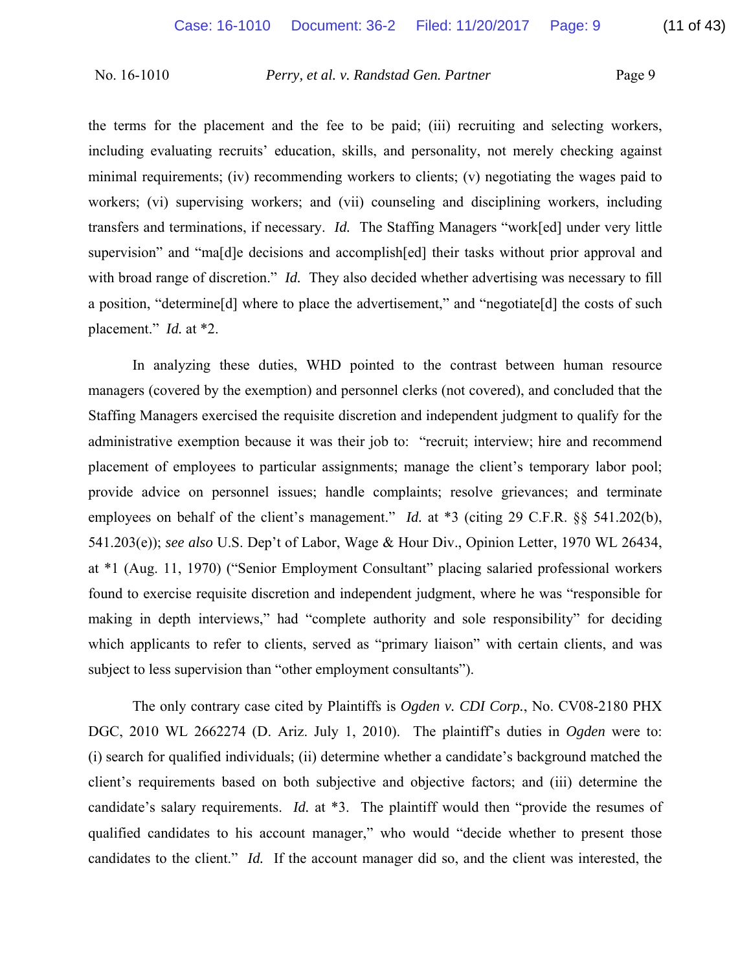the terms for the placement and the fee to be paid; (iii) recruiting and selecting workers, including evaluating recruits' education, skills, and personality, not merely checking against minimal requirements; (iv) recommending workers to clients; (v) negotiating the wages paid to workers; (vi) supervising workers; and (vii) counseling and disciplining workers, including transfers and terminations, if necessary. *Id.* The Staffing Managers "work[ed] under very little supervision" and "ma[d]e decisions and accomplish[ed] their tasks without prior approval and with broad range of discretion." *Id.* They also decided whether advertising was necessary to fill a position, "determine[d] where to place the advertisement," and "negotiate[d] the costs of such placement." *Id.* at \*2.

In analyzing these duties, WHD pointed to the contrast between human resource managers (covered by the exemption) and personnel clerks (not covered), and concluded that the Staffing Managers exercised the requisite discretion and independent judgment to qualify for the administrative exemption because it was their job to: "recruit; interview; hire and recommend placement of employees to particular assignments; manage the client's temporary labor pool; provide advice on personnel issues; handle complaints; resolve grievances; and terminate employees on behalf of the client's management." *Id.* at \*3 (citing 29 C.F.R. §§ 541.202(b), 541.203(e)); *see also* U.S. Dep't of Labor, Wage & Hour Div., Opinion Letter, 1970 WL 26434, at \*1 (Aug. 11, 1970) ("Senior Employment Consultant" placing salaried professional workers found to exercise requisite discretion and independent judgment, where he was "responsible for making in depth interviews," had "complete authority and sole responsibility" for deciding which applicants to refer to clients, served as "primary liaison" with certain clients, and was subject to less supervision than "other employment consultants").

The only contrary case cited by Plaintiffs is *Ogden v. CDI Corp.*, No. CV08-2180 PHX DGC, 2010 WL 2662274 (D. Ariz. July 1, 2010). The plaintiff's duties in *Ogden* were to: (i) search for qualified individuals; (ii) determine whether a candidate's background matched the client's requirements based on both subjective and objective factors; and (iii) determine the candidate's salary requirements. *Id.* at \*3. The plaintiff would then "provide the resumes of qualified candidates to his account manager," who would "decide whether to present those candidates to the client." *Id.* If the account manager did so, and the client was interested, the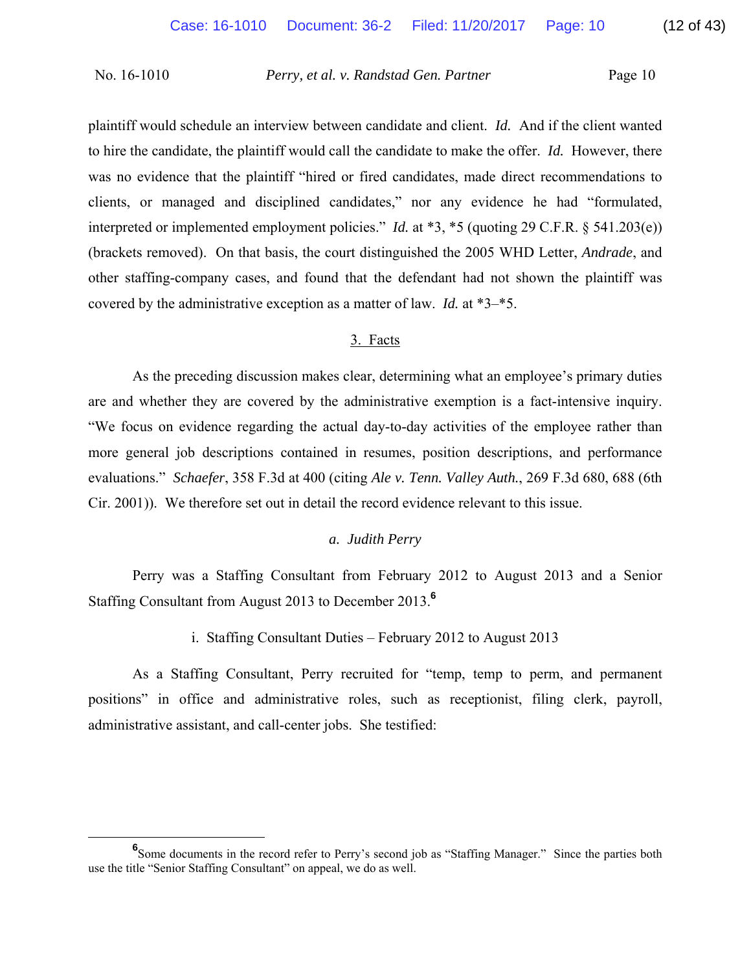plaintiff would schedule an interview between candidate and client. *Id.* And if the client wanted to hire the candidate, the plaintiff would call the candidate to make the offer. *Id.* However, there was no evidence that the plaintiff "hired or fired candidates, made direct recommendations to clients, or managed and disciplined candidates," nor any evidence he had "formulated, interpreted or implemented employment policies." *Id.* at \*3, \*5 (quoting 29 C.F.R. § 541.203(e)) (brackets removed). On that basis, the court distinguished the 2005 WHD Letter, *Andrade*, and other staffing-company cases, and found that the defendant had not shown the plaintiff was covered by the administrative exception as a matter of law. *Id.* at \*3–\*5.

## 3. Facts

As the preceding discussion makes clear, determining what an employee's primary duties are and whether they are covered by the administrative exemption is a fact-intensive inquiry. "We focus on evidence regarding the actual day-to-day activities of the employee rather than more general job descriptions contained in resumes, position descriptions, and performance evaluations." *Schaefer*, 358 F.3d at 400 (citing *Ale v. Tenn. Valley Auth.*, 269 F.3d 680, 688 (6th Cir. 2001)). We therefore set out in detail the record evidence relevant to this issue.

## *a. Judith Perry*

Perry was a Staffing Consultant from February 2012 to August 2013 and a Senior Staffing Consultant from August 2013 to December 2013.**<sup>6</sup>**

i. Staffing Consultant Duties – February 2012 to August 2013

As a Staffing Consultant, Perry recruited for "temp, temp to perm, and permanent positions" in office and administrative roles, such as receptionist, filing clerk, payroll, administrative assistant, and call-center jobs. She testified:

**<sup>6</sup>** <sup>6</sup>Some documents in the record refer to Perry's second job as "Staffing Manager." Since the parties both use the title "Senior Staffing Consultant" on appeal, we do as well.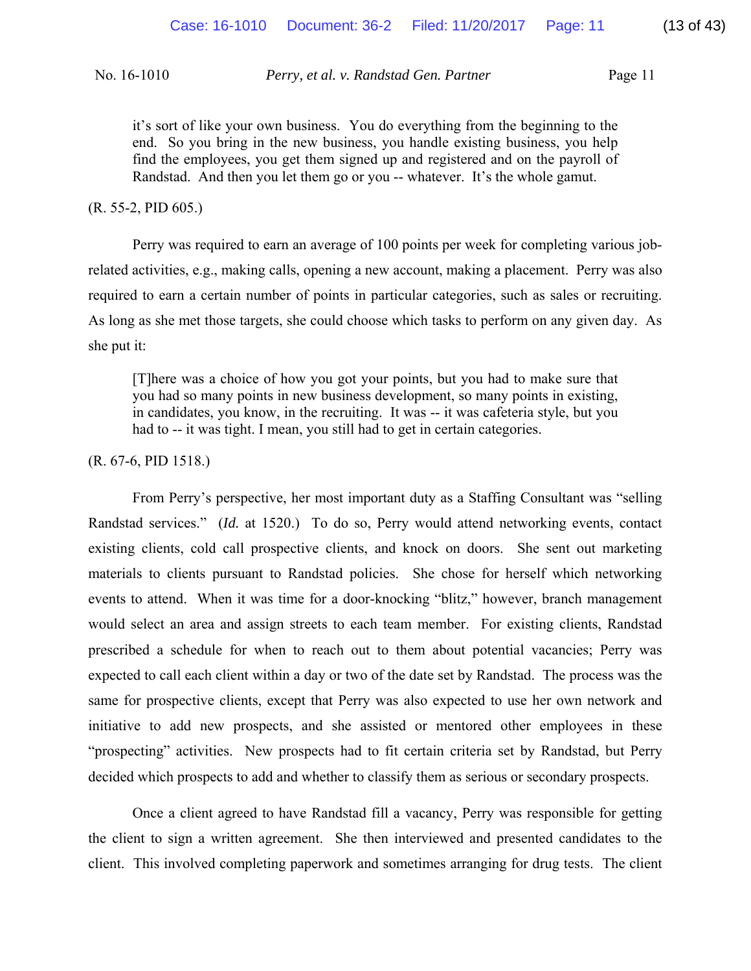it's sort of like your own business. You do everything from the beginning to the end. So you bring in the new business, you handle existing business, you help find the employees, you get them signed up and registered and on the payroll of Randstad. And then you let them go or you -- whatever. It's the whole gamut.

#### (R. 55-2, PID 605.)

Perry was required to earn an average of 100 points per week for completing various jobrelated activities, e.g., making calls, opening a new account, making a placement. Perry was also required to earn a certain number of points in particular categories, such as sales or recruiting. As long as she met those targets, she could choose which tasks to perform on any given day. As she put it:

[T]here was a choice of how you got your points, but you had to make sure that you had so many points in new business development, so many points in existing, in candidates, you know, in the recruiting. It was -- it was cafeteria style, but you had to -- it was tight. I mean, you still had to get in certain categories.

#### (R. 67-6, PID 1518.)

From Perry's perspective, her most important duty as a Staffing Consultant was "selling Randstad services." (*Id.* at 1520.) To do so, Perry would attend networking events, contact existing clients, cold call prospective clients, and knock on doors. She sent out marketing materials to clients pursuant to Randstad policies. She chose for herself which networking events to attend. When it was time for a door-knocking "blitz," however, branch management would select an area and assign streets to each team member. For existing clients, Randstad prescribed a schedule for when to reach out to them about potential vacancies; Perry was expected to call each client within a day or two of the date set by Randstad. The process was the same for prospective clients, except that Perry was also expected to use her own network and initiative to add new prospects, and she assisted or mentored other employees in these "prospecting" activities. New prospects had to fit certain criteria set by Randstad, but Perry decided which prospects to add and whether to classify them as serious or secondary prospects.

Once a client agreed to have Randstad fill a vacancy, Perry was responsible for getting the client to sign a written agreement. She then interviewed and presented candidates to the client. This involved completing paperwork and sometimes arranging for drug tests. The client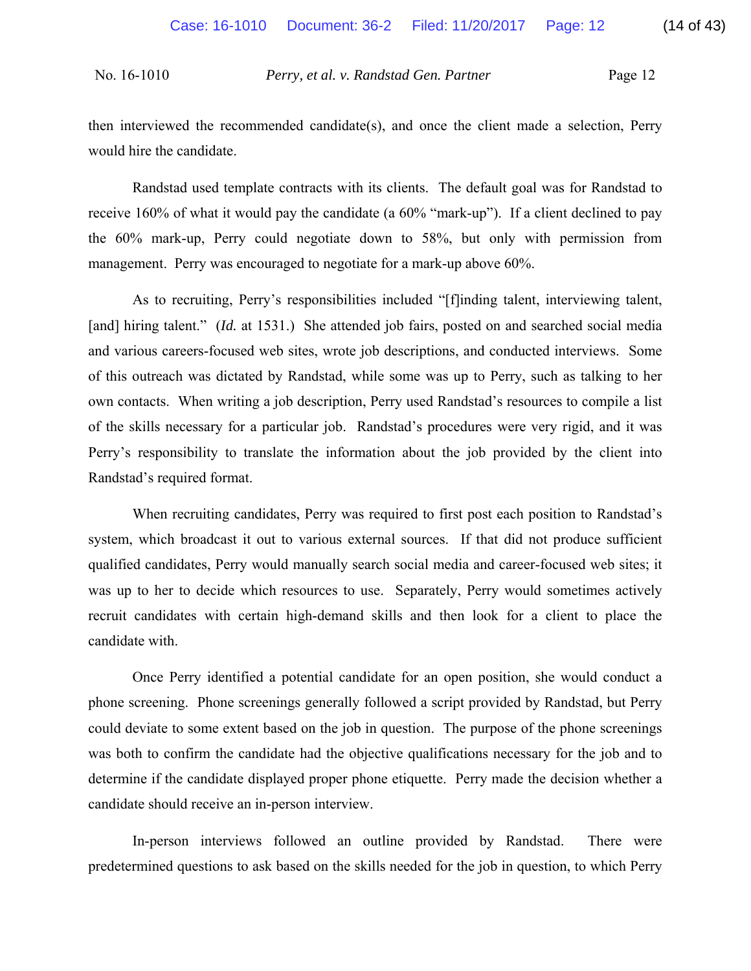then interviewed the recommended candidate(s), and once the client made a selection, Perry would hire the candidate.

Randstad used template contracts with its clients. The default goal was for Randstad to receive 160% of what it would pay the candidate (a 60% "mark-up"). If a client declined to pay the 60% mark-up, Perry could negotiate down to 58%, but only with permission from management. Perry was encouraged to negotiate for a mark-up above 60%.

As to recruiting, Perry's responsibilities included "[f]inding talent, interviewing talent, [and] hiring talent." *(Id.* at 1531.) She attended job fairs, posted on and searched social media and various careers-focused web sites, wrote job descriptions, and conducted interviews. Some of this outreach was dictated by Randstad, while some was up to Perry, such as talking to her own contacts. When writing a job description, Perry used Randstad's resources to compile a list of the skills necessary for a particular job. Randstad's procedures were very rigid, and it was Perry's responsibility to translate the information about the job provided by the client into Randstad's required format.

When recruiting candidates, Perry was required to first post each position to Randstad's system, which broadcast it out to various external sources. If that did not produce sufficient qualified candidates, Perry would manually search social media and career-focused web sites; it was up to her to decide which resources to use. Separately, Perry would sometimes actively recruit candidates with certain high-demand skills and then look for a client to place the candidate with.

Once Perry identified a potential candidate for an open position, she would conduct a phone screening. Phone screenings generally followed a script provided by Randstad, but Perry could deviate to some extent based on the job in question. The purpose of the phone screenings was both to confirm the candidate had the objective qualifications necessary for the job and to determine if the candidate displayed proper phone etiquette. Perry made the decision whether a candidate should receive an in-person interview.

In-person interviews followed an outline provided by Randstad. There were predetermined questions to ask based on the skills needed for the job in question, to which Perry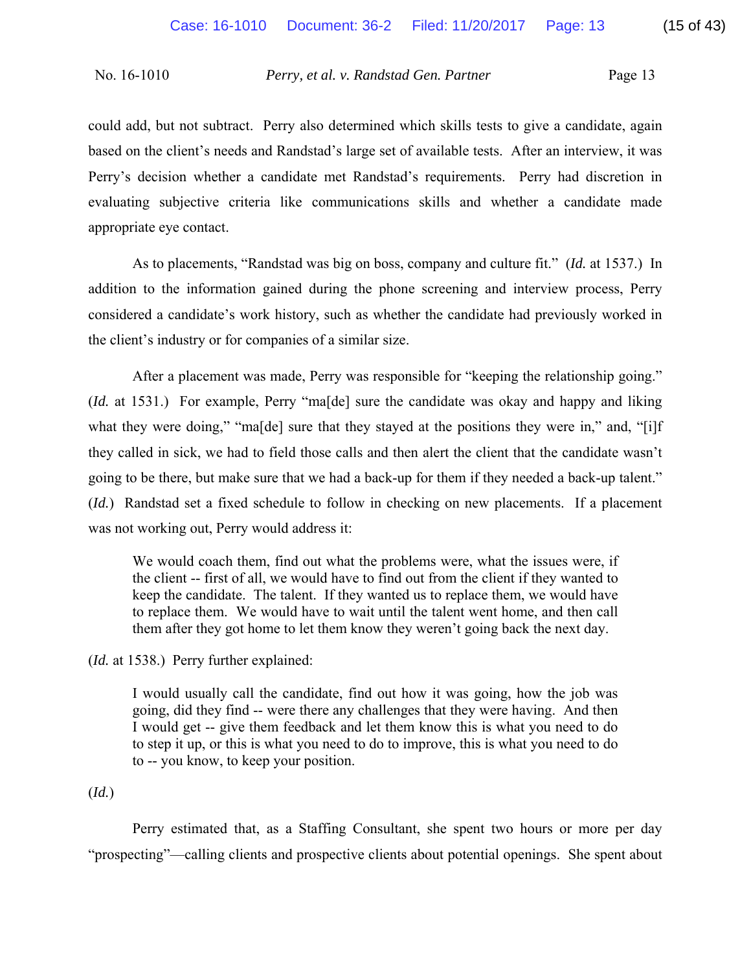could add, but not subtract. Perry also determined which skills tests to give a candidate, again based on the client's needs and Randstad's large set of available tests. After an interview, it was Perry's decision whether a candidate met Randstad's requirements. Perry had discretion in evaluating subjective criteria like communications skills and whether a candidate made appropriate eye contact.

As to placements, "Randstad was big on boss, company and culture fit." (*Id.* at 1537.) In addition to the information gained during the phone screening and interview process, Perry considered a candidate's work history, such as whether the candidate had previously worked in the client's industry or for companies of a similar size.

After a placement was made, Perry was responsible for "keeping the relationship going." (*Id.* at 1531.) For example, Perry "ma[de] sure the candidate was okay and happy and liking what they were doing," "ma<sup>[de]</sup> sure that they stayed at the positions they were in," and, "[i]f they called in sick, we had to field those calls and then alert the client that the candidate wasn't going to be there, but make sure that we had a back-up for them if they needed a back-up talent." (*Id.*) Randstad set a fixed schedule to follow in checking on new placements. If a placement was not working out, Perry would address it:

We would coach them, find out what the problems were, what the issues were, if the client -- first of all, we would have to find out from the client if they wanted to keep the candidate. The talent. If they wanted us to replace them, we would have to replace them. We would have to wait until the talent went home, and then call them after they got home to let them know they weren't going back the next day.

(*Id.* at 1538.) Perry further explained:

I would usually call the candidate, find out how it was going, how the job was going, did they find -- were there any challenges that they were having. And then I would get -- give them feedback and let them know this is what you need to do to step it up, or this is what you need to do to improve, this is what you need to do to -- you know, to keep your position.

## (*Id.*)

Perry estimated that, as a Staffing Consultant, she spent two hours or more per day "prospecting"—calling clients and prospective clients about potential openings. She spent about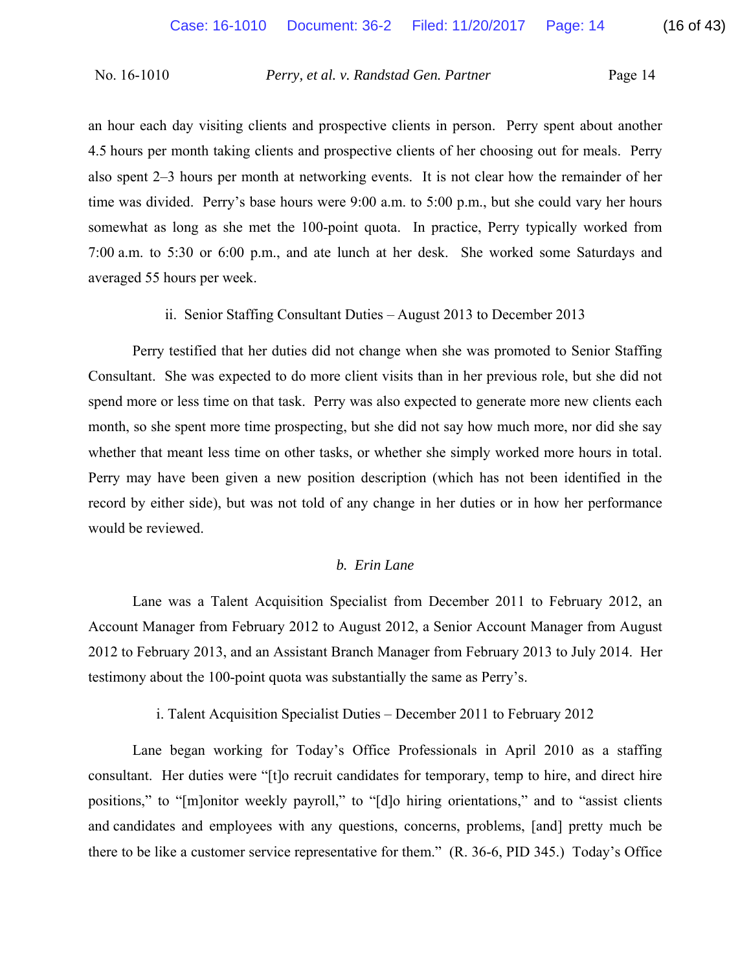an hour each day visiting clients and prospective clients in person. Perry spent about another 4.5 hours per month taking clients and prospective clients of her choosing out for meals. Perry also spent 2–3 hours per month at networking events. It is not clear how the remainder of her time was divided. Perry's base hours were 9:00 a.m. to 5:00 p.m., but she could vary her hours somewhat as long as she met the 100-point quota. In practice, Perry typically worked from 7:00 a.m. to 5:30 or 6:00 p.m., and ate lunch at her desk. She worked some Saturdays and averaged 55 hours per week.

ii. Senior Staffing Consultant Duties – August 2013 to December 2013

Perry testified that her duties did not change when she was promoted to Senior Staffing Consultant. She was expected to do more client visits than in her previous role, but she did not spend more or less time on that task. Perry was also expected to generate more new clients each month, so she spent more time prospecting, but she did not say how much more, nor did she say whether that meant less time on other tasks, or whether she simply worked more hours in total. Perry may have been given a new position description (which has not been identified in the record by either side), but was not told of any change in her duties or in how her performance would be reviewed.

## *b. Erin Lane*

Lane was a Talent Acquisition Specialist from December 2011 to February 2012, an Account Manager from February 2012 to August 2012, a Senior Account Manager from August 2012 to February 2013, and an Assistant Branch Manager from February 2013 to July 2014. Her testimony about the 100-point quota was substantially the same as Perry's.

i. Talent Acquisition Specialist Duties – December 2011 to February 2012

Lane began working for Today's Office Professionals in April 2010 as a staffing consultant. Her duties were "[t]o recruit candidates for temporary, temp to hire, and direct hire positions," to "[m]onitor weekly payroll," to "[d]o hiring orientations," and to "assist clients and candidates and employees with any questions, concerns, problems, [and] pretty much be there to be like a customer service representative for them." (R. 36-6, PID 345.) Today's Office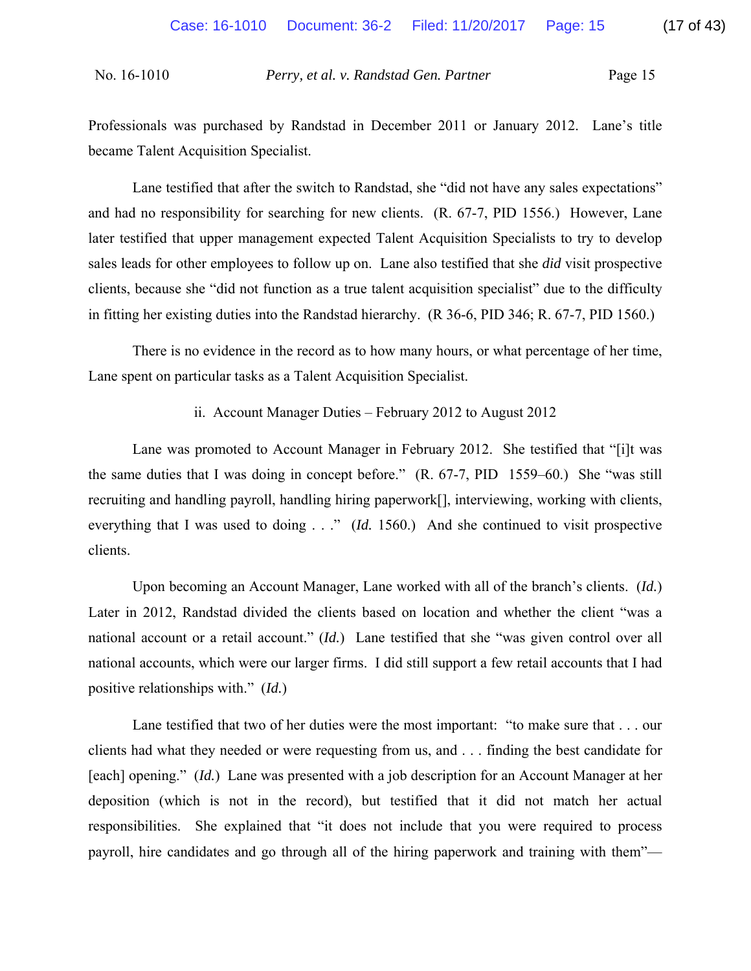Professionals was purchased by Randstad in December 2011 or January 2012. Lane's title became Talent Acquisition Specialist.

Lane testified that after the switch to Randstad, she "did not have any sales expectations" and had no responsibility for searching for new clients. (R. 67-7, PID 1556.) However, Lane later testified that upper management expected Talent Acquisition Specialists to try to develop sales leads for other employees to follow up on. Lane also testified that she *did* visit prospective clients, because she "did not function as a true talent acquisition specialist" due to the difficulty in fitting her existing duties into the Randstad hierarchy. (R 36-6, PID 346; R. 67-7, PID 1560.)

There is no evidence in the record as to how many hours, or what percentage of her time, Lane spent on particular tasks as a Talent Acquisition Specialist.

ii. Account Manager Duties – February 2012 to August 2012

Lane was promoted to Account Manager in February 2012. She testified that "[i]t was the same duties that I was doing in concept before." (R. 67-7, PID 1559–60.) She "was still recruiting and handling payroll, handling hiring paperwork[], interviewing, working with clients, everything that I was used to doing . . ." (*Id.* 1560.) And she continued to visit prospective clients.

Upon becoming an Account Manager, Lane worked with all of the branch's clients. (*Id.*) Later in 2012, Randstad divided the clients based on location and whether the client "was a national account or a retail account." (*Id.*) Lane testified that she "was given control over all national accounts, which were our larger firms. I did still support a few retail accounts that I had positive relationships with." (*Id.*)

Lane testified that two of her duties were the most important: "to make sure that . . . our clients had what they needed or were requesting from us, and . . . finding the best candidate for [each] opening." (*Id.*) Lane was presented with a job description for an Account Manager at her deposition (which is not in the record), but testified that it did not match her actual responsibilities. She explained that "it does not include that you were required to process payroll, hire candidates and go through all of the hiring paperwork and training with them"—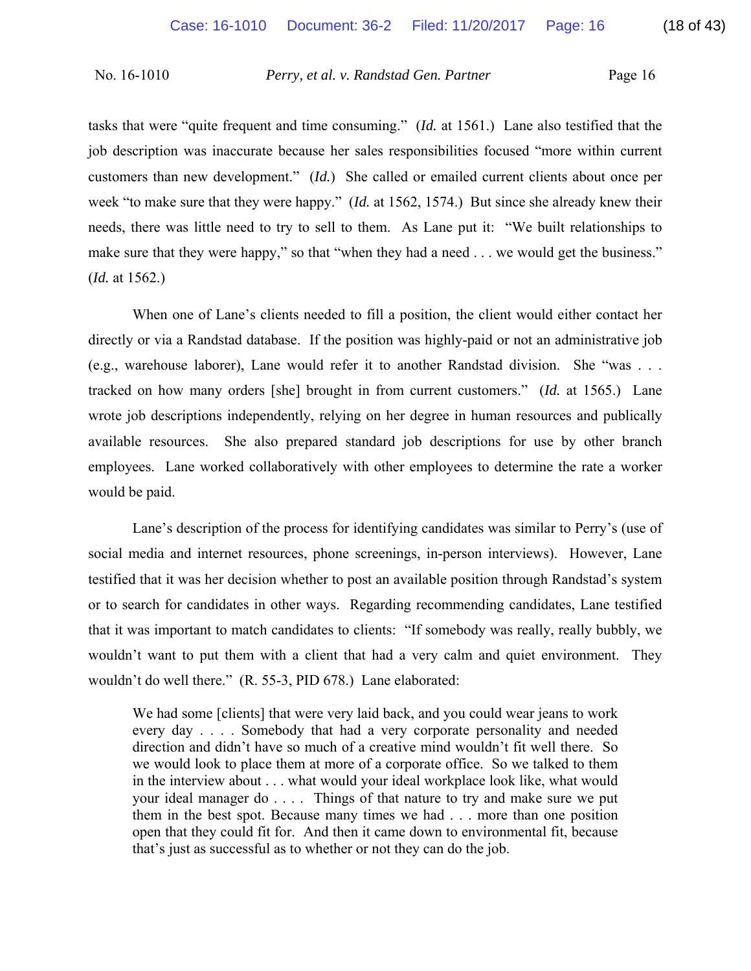tasks that were "quite frequent and time consuming." (*Id.* at 1561.) Lane also testified that the job description was inaccurate because her sales responsibilities focused "more within current customers than new development." (*Id.*) She called or emailed current clients about once per week "to make sure that they were happy." (*Id.* at 1562, 1574.) But since she already knew their needs, there was little need to try to sell to them. As Lane put it: "We built relationships to make sure that they were happy," so that "when they had a need . . . we would get the business." (*Id.* at 1562.)

When one of Lane's clients needed to fill a position, the client would either contact her directly or via a Randstad database. If the position was highly-paid or not an administrative job (e.g., warehouse laborer), Lane would refer it to another Randstad division. She "was . . . tracked on how many orders [she] brought in from current customers." (*Id.* at 1565.) Lane wrote job descriptions independently, relying on her degree in human resources and publically available resources. She also prepared standard job descriptions for use by other branch employees. Lane worked collaboratively with other employees to determine the rate a worker would be paid.

Lane's description of the process for identifying candidates was similar to Perry's (use of social media and internet resources, phone screenings, in-person interviews). However, Lane testified that it was her decision whether to post an available position through Randstad's system or to search for candidates in other ways. Regarding recommending candidates, Lane testified that it was important to match candidates to clients: "If somebody was really, really bubbly, we wouldn't want to put them with a client that had a very calm and quiet environment. They wouldn't do well there." (R. 55-3, PID 678.) Lane elaborated:

We had some [clients] that were very laid back, and you could wear jeans to work every day . . . . Somebody that had a very corporate personality and needed direction and didn't have so much of a creative mind wouldn't fit well there. So we would look to place them at more of a corporate office. So we talked to them in the interview about . . . what would your ideal workplace look like, what would your ideal manager do . . . . Things of that nature to try and make sure we put them in the best spot. Because many times we had . . . more than one position open that they could fit for. And then it came down to environmental fit, because that's just as successful as to whether or not they can do the job.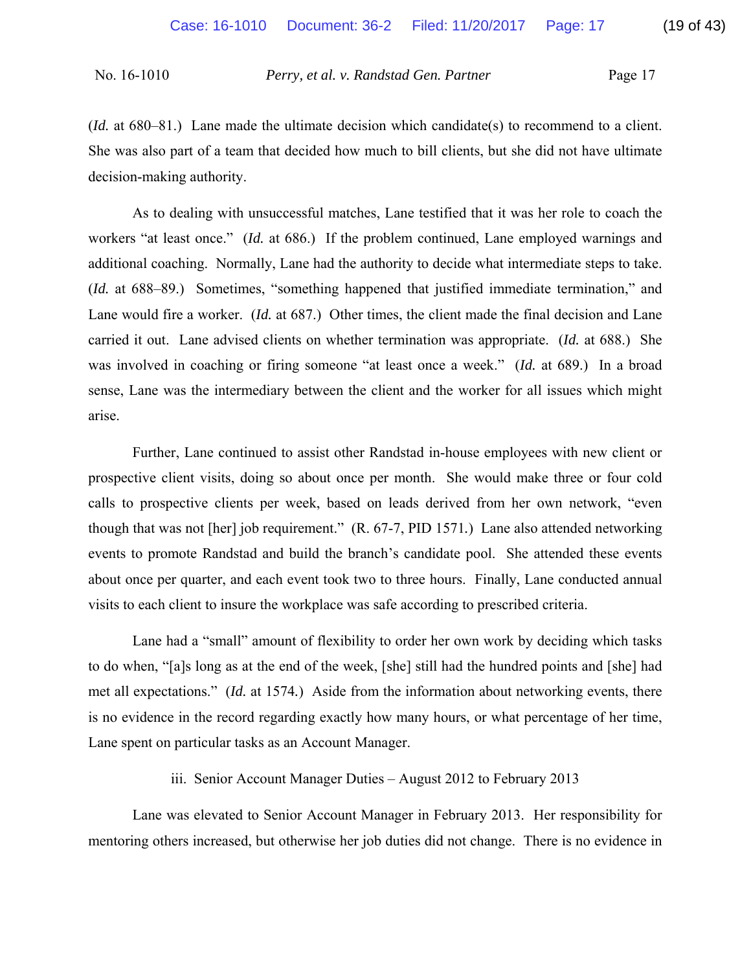(*Id.* at 680–81.) Lane made the ultimate decision which candidate(s) to recommend to a client. She was also part of a team that decided how much to bill clients, but she did not have ultimate decision-making authority.

As to dealing with unsuccessful matches, Lane testified that it was her role to coach the workers "at least once." (*Id.* at 686.) If the problem continued, Lane employed warnings and additional coaching. Normally, Lane had the authority to decide what intermediate steps to take. (*Id.* at 688–89.) Sometimes, "something happened that justified immediate termination," and Lane would fire a worker. (*Id.* at 687.) Other times, the client made the final decision and Lane carried it out. Lane advised clients on whether termination was appropriate. (*Id.* at 688.) She was involved in coaching or firing someone "at least once a week." (*Id.* at 689.) In a broad sense, Lane was the intermediary between the client and the worker for all issues which might arise.

Further, Lane continued to assist other Randstad in-house employees with new client or prospective client visits, doing so about once per month. She would make three or four cold calls to prospective clients per week, based on leads derived from her own network, "even though that was not [her] job requirement." (R. 67-7, PID 1571*.*) Lane also attended networking events to promote Randstad and build the branch's candidate pool. She attended these events about once per quarter, and each event took two to three hours. Finally, Lane conducted annual visits to each client to insure the workplace was safe according to prescribed criteria.

Lane had a "small" amount of flexibility to order her own work by deciding which tasks to do when, "[a]s long as at the end of the week, [she] still had the hundred points and [she] had met all expectations." (*Id.* at 1574*.*) Aside from the information about networking events, there is no evidence in the record regarding exactly how many hours, or what percentage of her time, Lane spent on particular tasks as an Account Manager.

iii. Senior Account Manager Duties – August 2012 to February 2013

Lane was elevated to Senior Account Manager in February 2013. Her responsibility for mentoring others increased, but otherwise her job duties did not change. There is no evidence in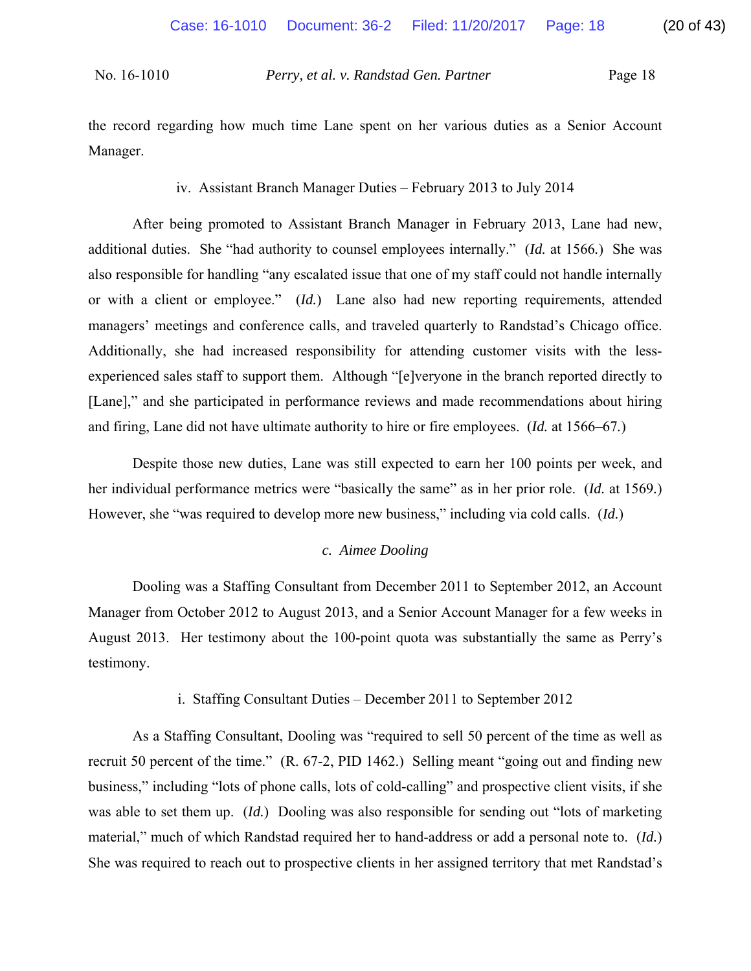the record regarding how much time Lane spent on her various duties as a Senior Account Manager.

iv. Assistant Branch Manager Duties – February 2013 to July 2014

After being promoted to Assistant Branch Manager in February 2013, Lane had new, additional duties. She "had authority to counsel employees internally." (*Id.* at 1566*.*) She was also responsible for handling "any escalated issue that one of my staff could not handle internally or with a client or employee." (*Id.*) Lane also had new reporting requirements, attended managers' meetings and conference calls, and traveled quarterly to Randstad's Chicago office. Additionally, she had increased responsibility for attending customer visits with the lessexperienced sales staff to support them. Although "[e]veryone in the branch reported directly to [Lane]," and she participated in performance reviews and made recommendations about hiring and firing, Lane did not have ultimate authority to hire or fire employees. (*Id.* at 1566–67*.*)

Despite those new duties, Lane was still expected to earn her 100 points per week, and her individual performance metrics were "basically the same" as in her prior role. (*Id.* at 1569*.*) However, she "was required to develop more new business," including via cold calls. (*Id.*)

#### *c. Aimee Dooling*

Dooling was a Staffing Consultant from December 2011 to September 2012, an Account Manager from October 2012 to August 2013, and a Senior Account Manager for a few weeks in August 2013. Her testimony about the 100-point quota was substantially the same as Perry's testimony.

i. Staffing Consultant Duties – December 2011 to September 2012

As a Staffing Consultant, Dooling was "required to sell 50 percent of the time as well as recruit 50 percent of the time." (R. 67-2, PID 1462.) Selling meant "going out and finding new business," including "lots of phone calls, lots of cold-calling" and prospective client visits, if she was able to set them up. (*Id.*) Dooling was also responsible for sending out "lots of marketing material," much of which Randstad required her to hand-address or add a personal note to. (*Id.*) She was required to reach out to prospective clients in her assigned territory that met Randstad's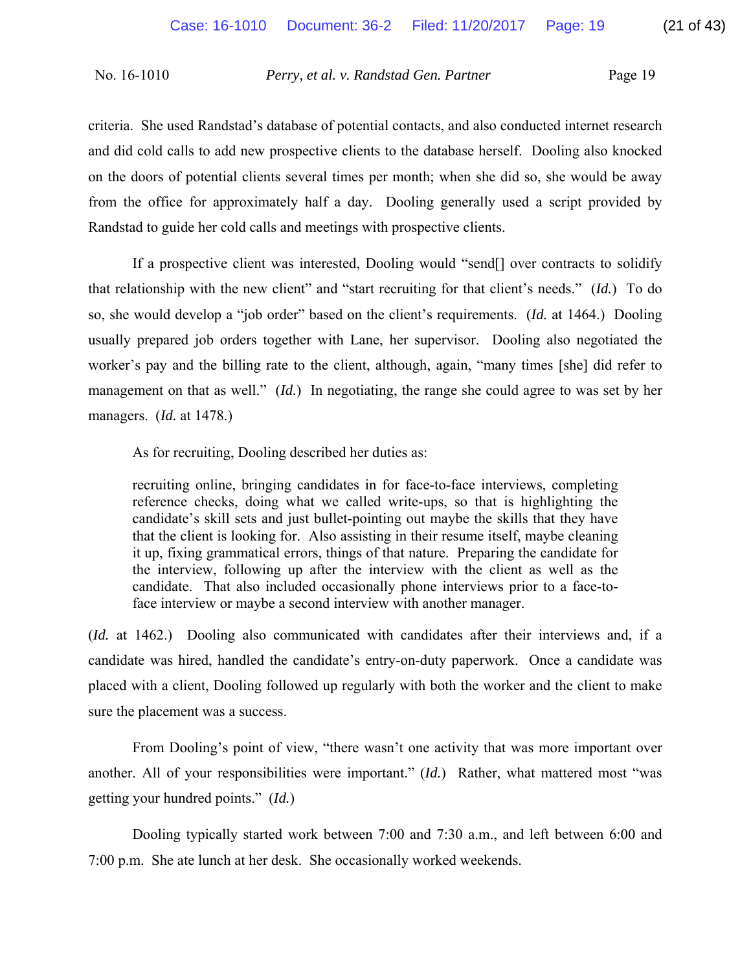criteria. She used Randstad's database of potential contacts, and also conducted internet research and did cold calls to add new prospective clients to the database herself. Dooling also knocked on the doors of potential clients several times per month; when she did so, she would be away from the office for approximately half a day. Dooling generally used a script provided by Randstad to guide her cold calls and meetings with prospective clients.

If a prospective client was interested, Dooling would "send[] over contracts to solidify that relationship with the new client" and "start recruiting for that client's needs." (*Id.*) To do so, she would develop a "job order" based on the client's requirements. (*Id.* at 1464.) Dooling usually prepared job orders together with Lane, her supervisor. Dooling also negotiated the worker's pay and the billing rate to the client, although, again, "many times [she] did refer to management on that as well." (*Id.*) In negotiating, the range she could agree to was set by her managers. (*Id.* at 1478.)

As for recruiting, Dooling described her duties as:

recruiting online, bringing candidates in for face-to-face interviews, completing reference checks, doing what we called write-ups, so that is highlighting the candidate's skill sets and just bullet-pointing out maybe the skills that they have that the client is looking for. Also assisting in their resume itself, maybe cleaning it up, fixing grammatical errors, things of that nature. Preparing the candidate for the interview, following up after the interview with the client as well as the candidate. That also included occasionally phone interviews prior to a face-toface interview or maybe a second interview with another manager.

(*Id.* at 1462.) Dooling also communicated with candidates after their interviews and, if a candidate was hired, handled the candidate's entry-on-duty paperwork. Once a candidate was placed with a client, Dooling followed up regularly with both the worker and the client to make sure the placement was a success.

From Dooling's point of view, "there wasn't one activity that was more important over another. All of your responsibilities were important." (*Id.*) Rather, what mattered most "was getting your hundred points." (*Id.*)

Dooling typically started work between 7:00 and 7:30 a.m., and left between 6:00 and 7:00 p.m. She ate lunch at her desk. She occasionally worked weekends.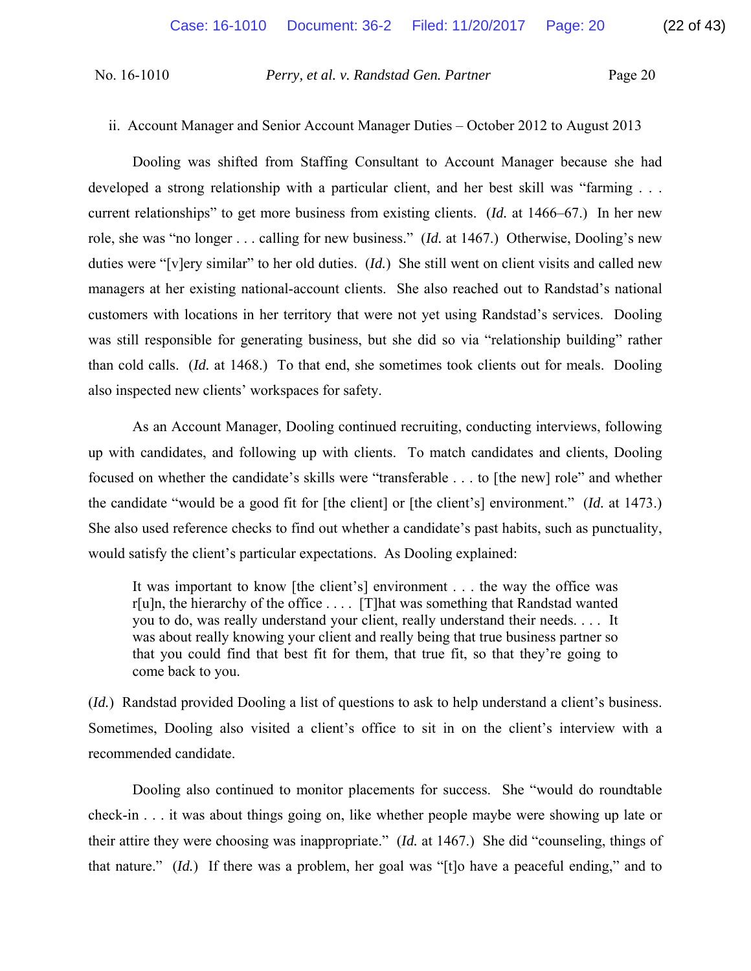## ii. Account Manager and Senior Account Manager Duties – October 2012 to August 2013

Dooling was shifted from Staffing Consultant to Account Manager because she had developed a strong relationship with a particular client, and her best skill was "farming . . . current relationships" to get more business from existing clients. (*Id.* at 1466–67.) In her new role, she was "no longer . . . calling for new business." (*Id.* at 1467.) Otherwise, Dooling's new duties were "[v]ery similar" to her old duties. (*Id.*) She still went on client visits and called new managers at her existing national-account clients. She also reached out to Randstad's national customers with locations in her territory that were not yet using Randstad's services. Dooling was still responsible for generating business, but she did so via "relationship building" rather than cold calls. (*Id.* at 1468.) To that end, she sometimes took clients out for meals. Dooling also inspected new clients' workspaces for safety.

As an Account Manager, Dooling continued recruiting, conducting interviews, following up with candidates, and following up with clients. To match candidates and clients, Dooling focused on whether the candidate's skills were "transferable . . . to [the new] role" and whether the candidate "would be a good fit for [the client] or [the client's] environment." (*Id.* at 1473.) She also used reference checks to find out whether a candidate's past habits, such as punctuality, would satisfy the client's particular expectations. As Dooling explained:

It was important to know [the client's] environment . . . the way the office was r[u]n, the hierarchy of the office . . . . [T]hat was something that Randstad wanted you to do, was really understand your client, really understand their needs. . . . It was about really knowing your client and really being that true business partner so that you could find that best fit for them, that true fit, so that they're going to come back to you.

(*Id.*) Randstad provided Dooling a list of questions to ask to help understand a client's business. Sometimes, Dooling also visited a client's office to sit in on the client's interview with a recommended candidate.

Dooling also continued to monitor placements for success. She "would do roundtable check-in . . . it was about things going on, like whether people maybe were showing up late or their attire they were choosing was inappropriate." (*Id.* at 1467.) She did "counseling, things of that nature." (*Id.*) If there was a problem, her goal was "[t]o have a peaceful ending," and to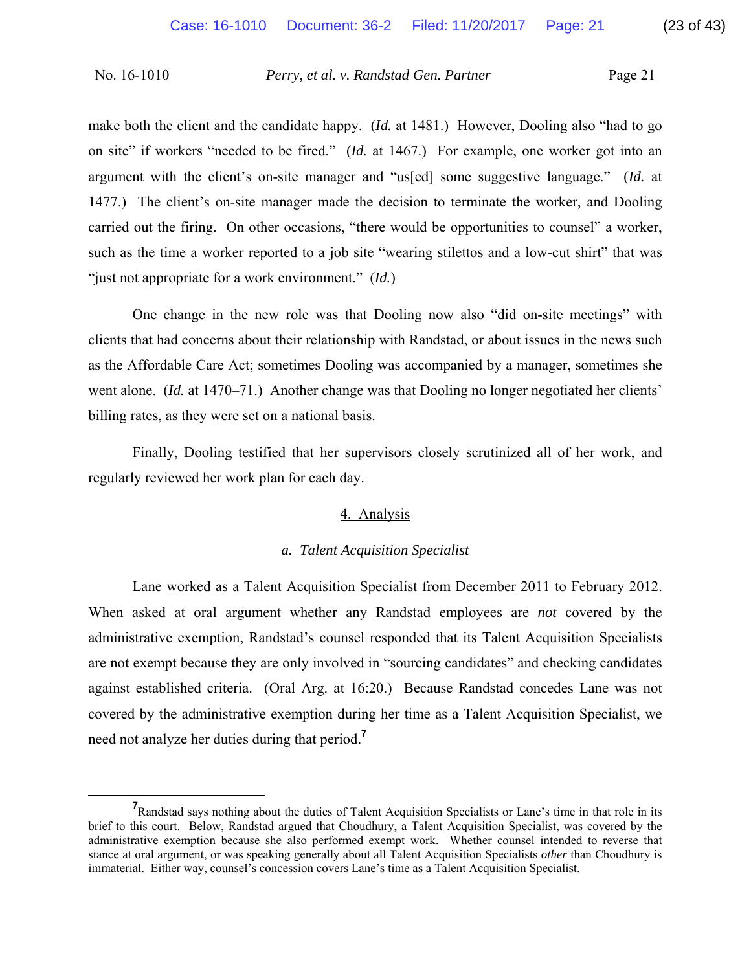make both the client and the candidate happy. (*Id.* at 1481.) However, Dooling also "had to go on site" if workers "needed to be fired." (*Id.* at 1467.) For example, one worker got into an argument with the client's on-site manager and "us[ed] some suggestive language." (*Id.* at 1477.) The client's on-site manager made the decision to terminate the worker, and Dooling carried out the firing. On other occasions, "there would be opportunities to counsel" a worker, such as the time a worker reported to a job site "wearing stilettos and a low-cut shirt" that was "just not appropriate for a work environment." (*Id.*)

One change in the new role was that Dooling now also "did on-site meetings" with clients that had concerns about their relationship with Randstad, or about issues in the news such as the Affordable Care Act; sometimes Dooling was accompanied by a manager, sometimes she went alone. *(Id.* at 1470–71.) Another change was that Dooling no longer negotiated her clients' billing rates, as they were set on a national basis.

Finally, Dooling testified that her supervisors closely scrutinized all of her work, and regularly reviewed her work plan for each day.

## 4. Analysis

#### *a. Talent Acquisition Specialist*

Lane worked as a Talent Acquisition Specialist from December 2011 to February 2012. When asked at oral argument whether any Randstad employees are *not* covered by the administrative exemption, Randstad's counsel responded that its Talent Acquisition Specialists are not exempt because they are only involved in "sourcing candidates" and checking candidates against established criteria. (Oral Arg. at 16:20.) Because Randstad concedes Lane was not covered by the administrative exemption during her time as a Talent Acquisition Specialist, we need not analyze her duties during that period.**<sup>7</sup>**

**<sup>7</sup>** <sup>7</sup>Randstad says nothing about the duties of Talent Acquisition Specialists or Lane's time in that role in its brief to this court. Below, Randstad argued that Choudhury, a Talent Acquisition Specialist, was covered by the administrative exemption because she also performed exempt work. Whether counsel intended to reverse that stance at oral argument, or was speaking generally about all Talent Acquisition Specialists *other* than Choudhury is immaterial. Either way, counsel's concession covers Lane's time as a Talent Acquisition Specialist.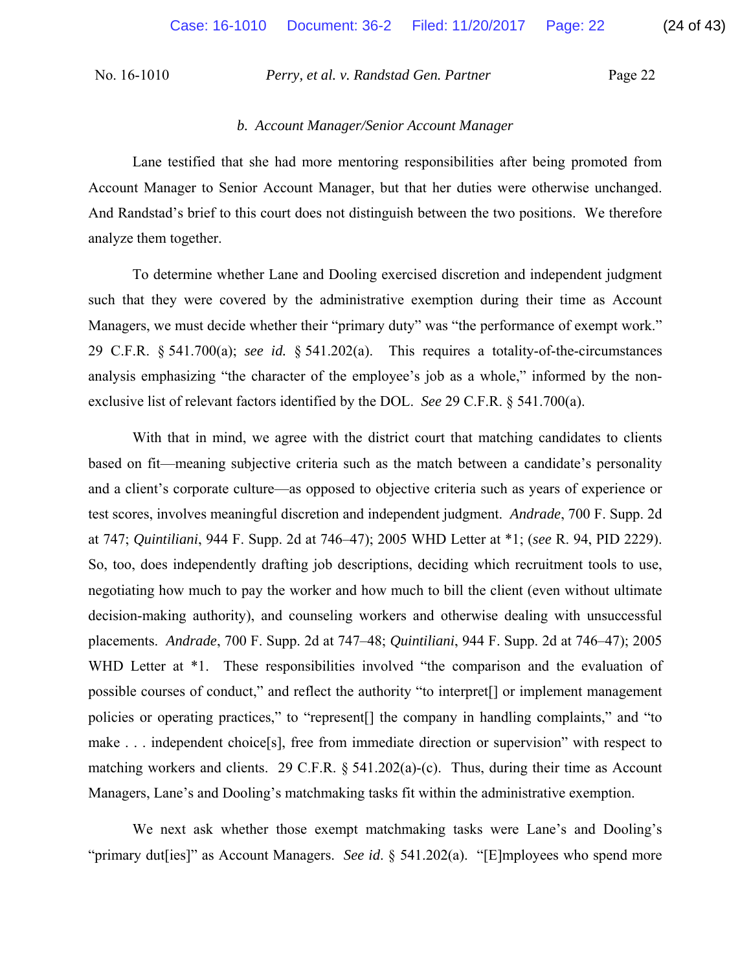#### *b. Account Manager/Senior Account Manager*

Lane testified that she had more mentoring responsibilities after being promoted from Account Manager to Senior Account Manager, but that her duties were otherwise unchanged. And Randstad's brief to this court does not distinguish between the two positions. We therefore analyze them together.

To determine whether Lane and Dooling exercised discretion and independent judgment such that they were covered by the administrative exemption during their time as Account Managers, we must decide whether their "primary duty" was "the performance of exempt work." 29 C.F.R. § 541.700(a); *see id.* § 541.202(a). This requires a totality-of-the-circumstances analysis emphasizing "the character of the employee's job as a whole," informed by the nonexclusive list of relevant factors identified by the DOL. *See* 29 C.F.R. § 541.700(a).

With that in mind, we agree with the district court that matching candidates to clients based on fit—meaning subjective criteria such as the match between a candidate's personality and a client's corporate culture—as opposed to objective criteria such as years of experience or test scores, involves meaningful discretion and independent judgment. *Andrade*, 700 F. Supp. 2d at 747; *Quintiliani*, 944 F. Supp. 2d at 746–47); 2005 WHD Letter at \*1; (*see* R. 94, PID 2229). So, too, does independently drafting job descriptions, deciding which recruitment tools to use, negotiating how much to pay the worker and how much to bill the client (even without ultimate decision-making authority), and counseling workers and otherwise dealing with unsuccessful placements. *Andrade*, 700 F. Supp. 2d at 747–48; *Quintiliani*, 944 F. Supp. 2d at 746–47); 2005 WHD Letter at  $*1$ . These responsibilities involved "the comparison and the evaluation of possible courses of conduct," and reflect the authority "to interpret[] or implement management policies or operating practices," to "represent[] the company in handling complaints," and "to make . . . independent choice[s], free from immediate direction or supervision" with respect to matching workers and clients. 29 C.F.R. § 541.202(a)-(c). Thus, during their time as Account Managers, Lane's and Dooling's matchmaking tasks fit within the administrative exemption.

We next ask whether those exempt matchmaking tasks were Lane's and Dooling's "primary dut[ies]" as Account Managers. *See id.* § 541.202(a). "[E]mployees who spend more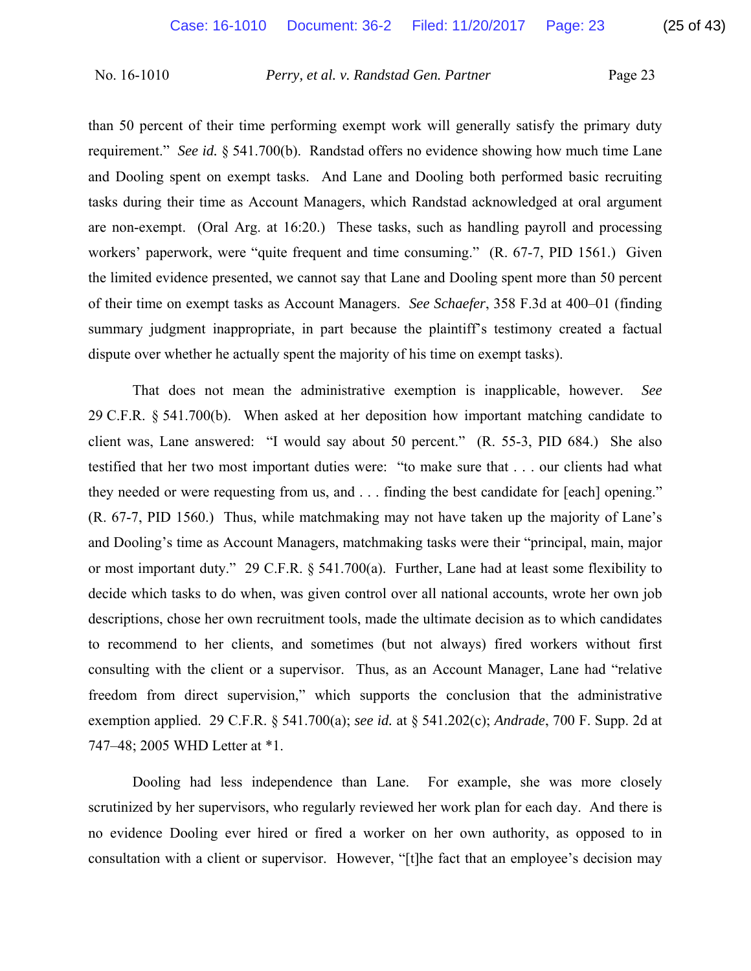than 50 percent of their time performing exempt work will generally satisfy the primary duty requirement." *See id.* § 541.700(b). Randstad offers no evidence showing how much time Lane and Dooling spent on exempt tasks. And Lane and Dooling both performed basic recruiting tasks during their time as Account Managers, which Randstad acknowledged at oral argument are non-exempt. (Oral Arg. at 16:20.) These tasks, such as handling payroll and processing workers' paperwork, were "quite frequent and time consuming." (R. 67-7, PID 1561.) Given the limited evidence presented, we cannot say that Lane and Dooling spent more than 50 percent of their time on exempt tasks as Account Managers. *See Schaefer*, 358 F.3d at 400–01 (finding summary judgment inappropriate, in part because the plaintiff's testimony created a factual dispute over whether he actually spent the majority of his time on exempt tasks).

That does not mean the administrative exemption is inapplicable, however. *See*  29 C.F.R. § 541.700(b). When asked at her deposition how important matching candidate to client was, Lane answered: "I would say about 50 percent." (R. 55-3, PID 684.) She also testified that her two most important duties were: "to make sure that . . . our clients had what they needed or were requesting from us, and . . . finding the best candidate for [each] opening." (R. 67-7, PID 1560.) Thus, while matchmaking may not have taken up the majority of Lane's and Dooling's time as Account Managers, matchmaking tasks were their "principal, main, major or most important duty." 29 C.F.R. § 541.700(a). Further, Lane had at least some flexibility to decide which tasks to do when, was given control over all national accounts, wrote her own job descriptions, chose her own recruitment tools, made the ultimate decision as to which candidates to recommend to her clients, and sometimes (but not always) fired workers without first consulting with the client or a supervisor. Thus, as an Account Manager, Lane had "relative freedom from direct supervision," which supports the conclusion that the administrative exemption applied. 29 C.F.R. § 541.700(a); *see id.* at § 541.202(c); *Andrade*, 700 F. Supp. 2d at 747–48; 2005 WHD Letter at \*1.

Dooling had less independence than Lane. For example, she was more closely scrutinized by her supervisors, who regularly reviewed her work plan for each day. And there is no evidence Dooling ever hired or fired a worker on her own authority, as opposed to in consultation with a client or supervisor. However, "[t]he fact that an employee's decision may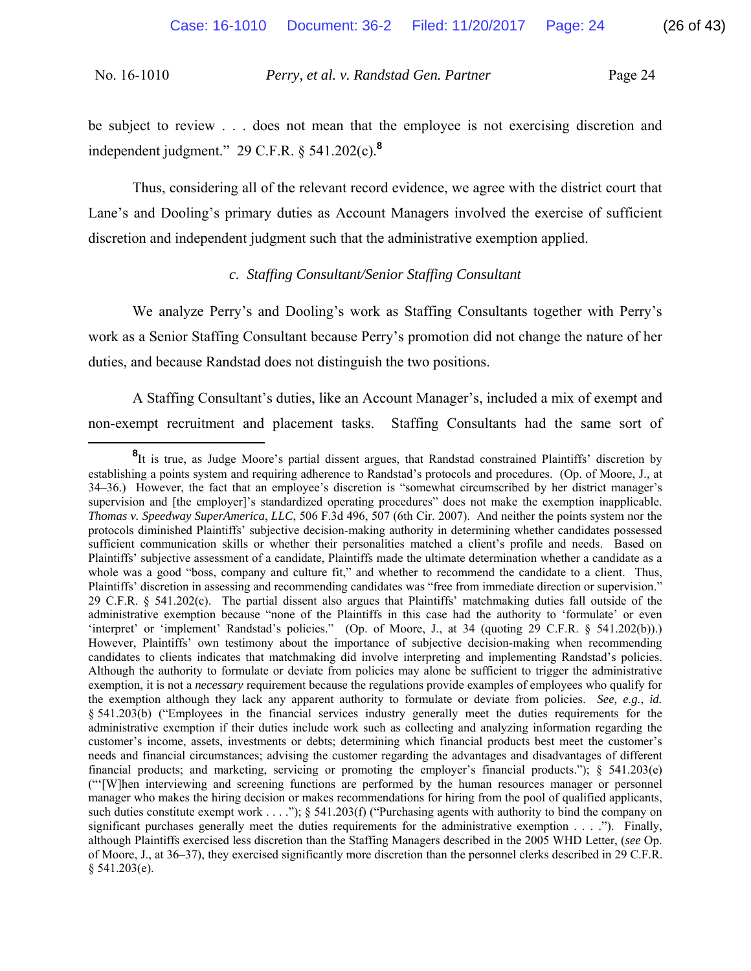be subject to review . . . does not mean that the employee is not exercising discretion and independent judgment." 29 C.F.R. § 541.202(c).**<sup>8</sup>**

Thus, considering all of the relevant record evidence, we agree with the district court that Lane's and Dooling's primary duties as Account Managers involved the exercise of sufficient discretion and independent judgment such that the administrative exemption applied.

## *c. Staffing Consultant/Senior Staffing Consultant*

We analyze Perry's and Dooling's work as Staffing Consultants together with Perry's work as a Senior Staffing Consultant because Perry's promotion did not change the nature of her duties, and because Randstad does not distinguish the two positions.

A Staffing Consultant's duties, like an Account Manager's, included a mix of exempt and non-exempt recruitment and placement tasks. Staffing Consultants had the same sort of

**<sup>8</sup>** It is true, as Judge Moore's partial dissent argues, that Randstad constrained Plaintiffs' discretion by establishing a points system and requiring adherence to Randstad's protocols and procedures. (Op. of Moore, J., at 34–36.) However, the fact that an employee's discretion is "somewhat circumscribed by her district manager's supervision and [the employer]'s standardized operating procedures" does not make the exemption inapplicable. *Thomas v. Speedway SuperAmerica*, *LLC*, 506 F.3d 496, 507 (6th Cir. 2007). And neither the points system nor the protocols diminished Plaintiffs' subjective decision-making authority in determining whether candidates possessed sufficient communication skills or whether their personalities matched a client's profile and needs. Based on Plaintiffs' subjective assessment of a candidate, Plaintiffs made the ultimate determination whether a candidate as a whole was a good "boss, company and culture fit," and whether to recommend the candidate to a client. Thus, Plaintiffs' discretion in assessing and recommending candidates was "free from immediate direction or supervision." 29 C.F.R. § 541.202(c). The partial dissent also argues that Plaintiffs' matchmaking duties fall outside of the administrative exemption because "none of the Plaintiffs in this case had the authority to 'formulate' or even 'interpret' or 'implement' Randstad's policies." (Op. of Moore, J., at 34 (quoting 29 C.F.R. § 541.202(b)).) However, Plaintiffs' own testimony about the importance of subjective decision-making when recommending candidates to clients indicates that matchmaking did involve interpreting and implementing Randstad's policies. Although the authority to formulate or deviate from policies may alone be sufficient to trigger the administrative exemption, it is not a *necessary* requirement because the regulations provide examples of employees who qualify for the exemption although they lack any apparent authority to formulate or deviate from policies. *See, e.g.*, *id.* § 541.203(b) ("Employees in the financial services industry generally meet the duties requirements for the administrative exemption if their duties include work such as collecting and analyzing information regarding the customer's income, assets, investments or debts; determining which financial products best meet the customer's needs and financial circumstances; advising the customer regarding the advantages and disadvantages of different financial products; and marketing, servicing or promoting the employer's financial products."); § 541.203(e) ("'[W]hen interviewing and screening functions are performed by the human resources manager or personnel manager who makes the hiring decision or makes recommendations for hiring from the pool of qualified applicants, such duties constitute exempt work  $\dots$  ..."); § 541.203(f) ("Purchasing agents with authority to bind the company on significant purchases generally meet the duties requirements for the administrative exemption  $\dots$ . ."). Finally, although Plaintiffs exercised less discretion than the Staffing Managers described in the 2005 WHD Letter, (*see* Op. of Moore, J., at 36–37), they exercised significantly more discretion than the personnel clerks described in 29 C.F.R.  $§$  541.203(e).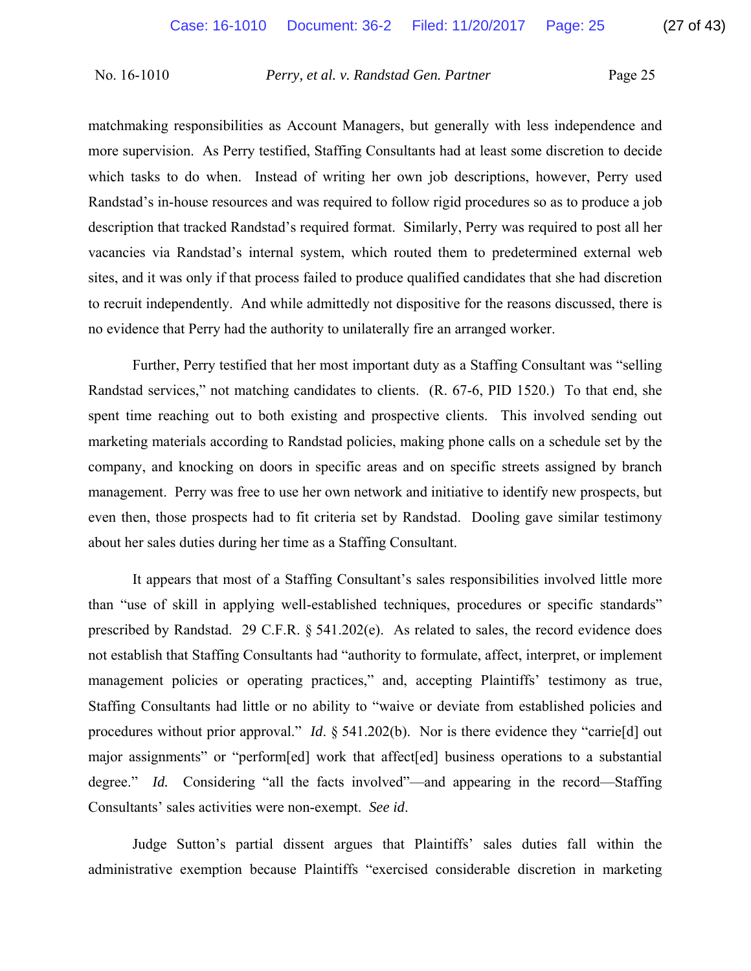matchmaking responsibilities as Account Managers, but generally with less independence and more supervision. As Perry testified, Staffing Consultants had at least some discretion to decide which tasks to do when. Instead of writing her own job descriptions, however, Perry used Randstad's in-house resources and was required to follow rigid procedures so as to produce a job description that tracked Randstad's required format. Similarly, Perry was required to post all her vacancies via Randstad's internal system, which routed them to predetermined external web sites, and it was only if that process failed to produce qualified candidates that she had discretion to recruit independently. And while admittedly not dispositive for the reasons discussed, there is no evidence that Perry had the authority to unilaterally fire an arranged worker.

Further, Perry testified that her most important duty as a Staffing Consultant was "selling Randstad services," not matching candidates to clients. (R. 67-6, PID 1520.) To that end, she spent time reaching out to both existing and prospective clients. This involved sending out marketing materials according to Randstad policies, making phone calls on a schedule set by the company, and knocking on doors in specific areas and on specific streets assigned by branch management. Perry was free to use her own network and initiative to identify new prospects, but even then, those prospects had to fit criteria set by Randstad. Dooling gave similar testimony about her sales duties during her time as a Staffing Consultant.

It appears that most of a Staffing Consultant's sales responsibilities involved little more than "use of skill in applying well-established techniques, procedures or specific standards" prescribed by Randstad. 29 C.F.R. § 541.202(e). As related to sales, the record evidence does not establish that Staffing Consultants had "authority to formulate, affect, interpret, or implement management policies or operating practices," and, accepting Plaintiffs' testimony as true, Staffing Consultants had little or no ability to "waive or deviate from established policies and procedures without prior approval." *Id.* § 541.202(b). Nor is there evidence they "carrie<sup>[d]</sup> out major assignments" or "perform[ed] work that affect[ed] business operations to a substantial degree." *Id.* Considering "all the facts involved"—and appearing in the record—Staffing Consultants' sales activities were non-exempt. *See id*.

Judge Sutton's partial dissent argues that Plaintiffs' sales duties fall within the administrative exemption because Plaintiffs "exercised considerable discretion in marketing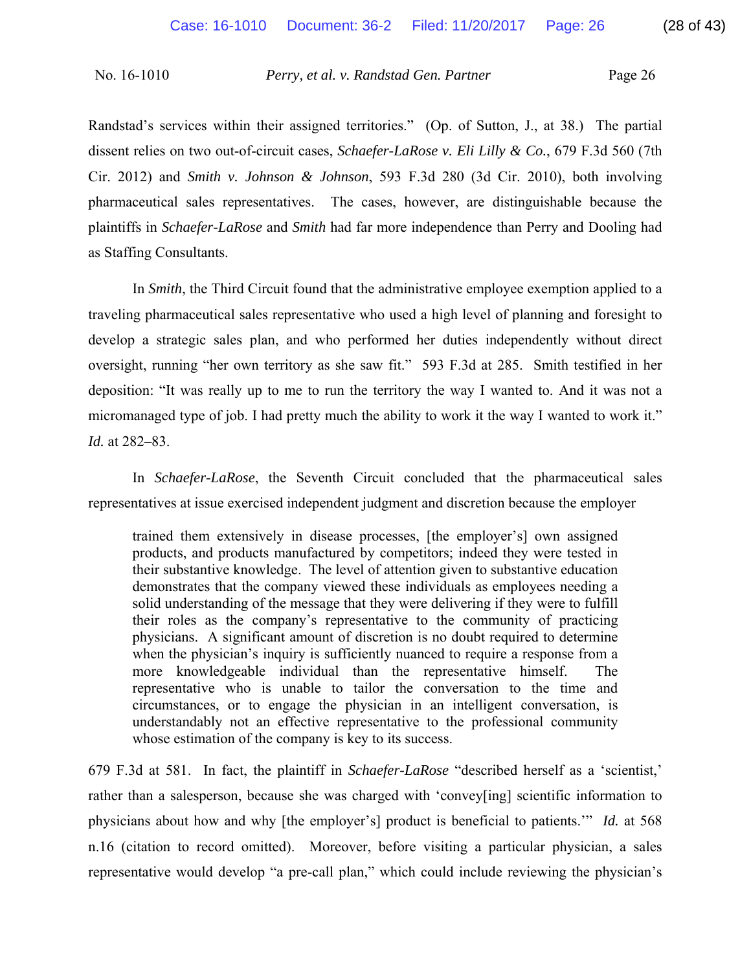Randstad's services within their assigned territories." (Op. of Sutton, J., at 38.) The partial dissent relies on two out-of-circuit cases, *Schaefer-LaRose v. Eli Lilly & Co.*, 679 F.3d 560 (7th Cir. 2012) and *Smith v. Johnson & Johnson*, 593 F.3d 280 (3d Cir. 2010), both involving pharmaceutical sales representatives. The cases, however, are distinguishable because the plaintiffs in *Schaefer-LaRose* and *Smith* had far more independence than Perry and Dooling had as Staffing Consultants.

In *Smith*, the Third Circuit found that the administrative employee exemption applied to a traveling pharmaceutical sales representative who used a high level of planning and foresight to develop a strategic sales plan, and who performed her duties independently without direct oversight, running "her own territory as she saw fit." 593 F.3d at 285. Smith testified in her deposition: "It was really up to me to run the territory the way I wanted to. And it was not a micromanaged type of job. I had pretty much the ability to work it the way I wanted to work it." *Id.* at 282–83.

In *Schaefer-LaRose*, the Seventh Circuit concluded that the pharmaceutical sales representatives at issue exercised independent judgment and discretion because the employer

trained them extensively in disease processes, [the employer's] own assigned products, and products manufactured by competitors; indeed they were tested in their substantive knowledge. The level of attention given to substantive education demonstrates that the company viewed these individuals as employees needing a solid understanding of the message that they were delivering if they were to fulfill their roles as the company's representative to the community of practicing physicians. A significant amount of discretion is no doubt required to determine when the physician's inquiry is sufficiently nuanced to require a response from a more knowledgeable individual than the representative himself. The representative who is unable to tailor the conversation to the time and circumstances, or to engage the physician in an intelligent conversation, is understandably not an effective representative to the professional community whose estimation of the company is key to its success.

679 F.3d at 581. In fact, the plaintiff in *Schaefer-LaRose* "described herself as a 'scientist,' rather than a salesperson, because she was charged with 'convey[ing] scientific information to physicians about how and why [the employer's] product is beneficial to patients.'" *Id.* at 568 n.16 (citation to record omitted). Moreover, before visiting a particular physician, a sales representative would develop "a pre-call plan," which could include reviewing the physician's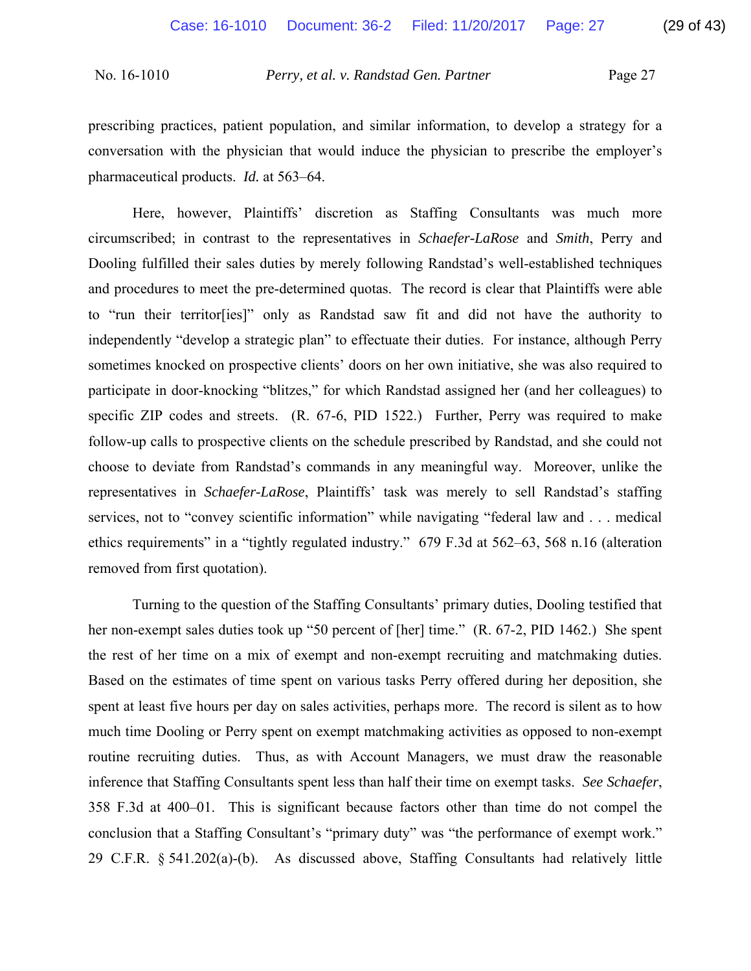prescribing practices, patient population, and similar information, to develop a strategy for a conversation with the physician that would induce the physician to prescribe the employer's pharmaceutical products. *Id.* at 563–64.

Here, however, Plaintiffs' discretion as Staffing Consultants was much more circumscribed; in contrast to the representatives in *Schaefer-LaRose* and *Smith*, Perry and Dooling fulfilled their sales duties by merely following Randstad's well-established techniques and procedures to meet the pre-determined quotas. The record is clear that Plaintiffs were able to "run their territor[ies]" only as Randstad saw fit and did not have the authority to independently "develop a strategic plan" to effectuate their duties. For instance, although Perry sometimes knocked on prospective clients' doors on her own initiative, she was also required to participate in door-knocking "blitzes," for which Randstad assigned her (and her colleagues) to specific ZIP codes and streets. (R. 67-6, PID 1522.) Further, Perry was required to make follow-up calls to prospective clients on the schedule prescribed by Randstad, and she could not choose to deviate from Randstad's commands in any meaningful way. Moreover, unlike the representatives in *Schaefer-LaRose*, Plaintiffs' task was merely to sell Randstad's staffing services, not to "convey scientific information" while navigating "federal law and . . . medical ethics requirements" in a "tightly regulated industry." 679 F.3d at 562–63, 568 n.16 (alteration removed from first quotation).

Turning to the question of the Staffing Consultants' primary duties, Dooling testified that her non-exempt sales duties took up "50 percent of [her] time." (R. 67-2, PID 1462.) She spent the rest of her time on a mix of exempt and non-exempt recruiting and matchmaking duties. Based on the estimates of time spent on various tasks Perry offered during her deposition, she spent at least five hours per day on sales activities, perhaps more. The record is silent as to how much time Dooling or Perry spent on exempt matchmaking activities as opposed to non-exempt routine recruiting duties. Thus, as with Account Managers, we must draw the reasonable inference that Staffing Consultants spent less than half their time on exempt tasks. *See Schaefer*, 358 F.3d at 400–01. This is significant because factors other than time do not compel the conclusion that a Staffing Consultant's "primary duty" was "the performance of exempt work." 29 C.F.R. § 541.202(a)-(b). As discussed above, Staffing Consultants had relatively little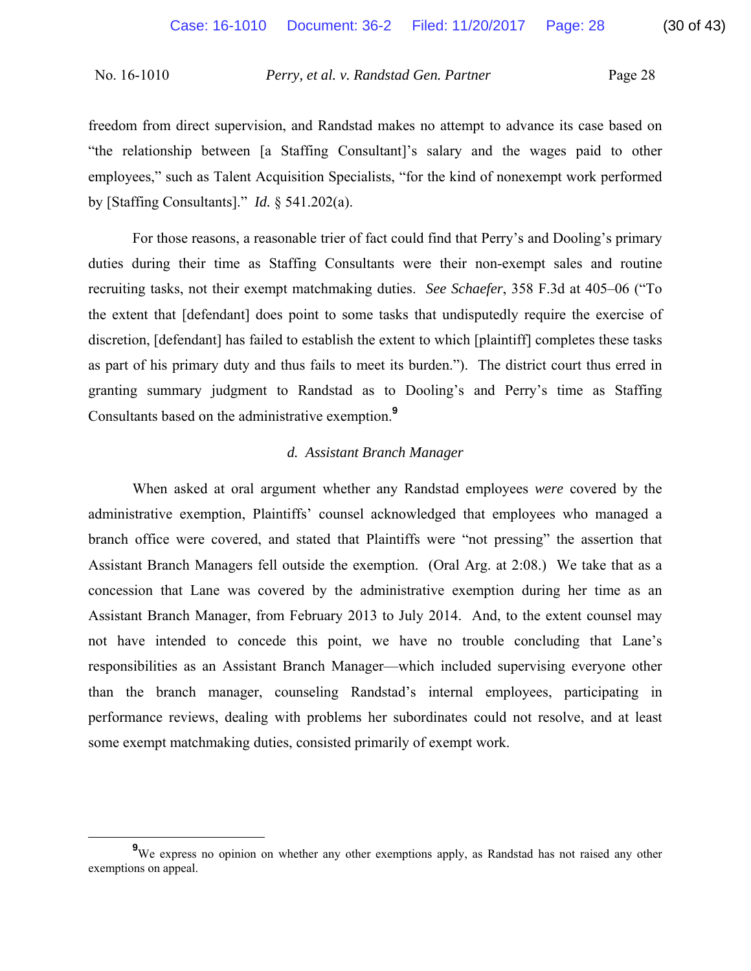freedom from direct supervision, and Randstad makes no attempt to advance its case based on "the relationship between [a Staffing Consultant]'s salary and the wages paid to other employees," such as Talent Acquisition Specialists, "for the kind of nonexempt work performed by [Staffing Consultants]." *Id.* § 541.202(a).

For those reasons, a reasonable trier of fact could find that Perry's and Dooling's primary duties during their time as Staffing Consultants were their non-exempt sales and routine recruiting tasks, not their exempt matchmaking duties. *See Schaefer*, 358 F.3d at 405–06 ("To the extent that [defendant] does point to some tasks that undisputedly require the exercise of discretion, [defendant] has failed to establish the extent to which [plaintiff] completes these tasks as part of his primary duty and thus fails to meet its burden."). The district court thus erred in granting summary judgment to Randstad as to Dooling's and Perry's time as Staffing Consultants based on the administrative exemption.**<sup>9</sup>**

## *d. Assistant Branch Manager*

When asked at oral argument whether any Randstad employees *were* covered by the administrative exemption, Plaintiffs' counsel acknowledged that employees who managed a branch office were covered, and stated that Plaintiffs were "not pressing" the assertion that Assistant Branch Managers fell outside the exemption. (Oral Arg. at 2:08.) We take that as a concession that Lane was covered by the administrative exemption during her time as an Assistant Branch Manager, from February 2013 to July 2014. And, to the extent counsel may not have intended to concede this point, we have no trouble concluding that Lane's responsibilities as an Assistant Branch Manager—which included supervising everyone other than the branch manager, counseling Randstad's internal employees, participating in performance reviews, dealing with problems her subordinates could not resolve, and at least some exempt matchmaking duties, consisted primarily of exempt work.

**<sup>9</sup>** <sup>9</sup>We express no opinion on whether any other exemptions apply, as Randstad has not raised any other exemptions on appeal.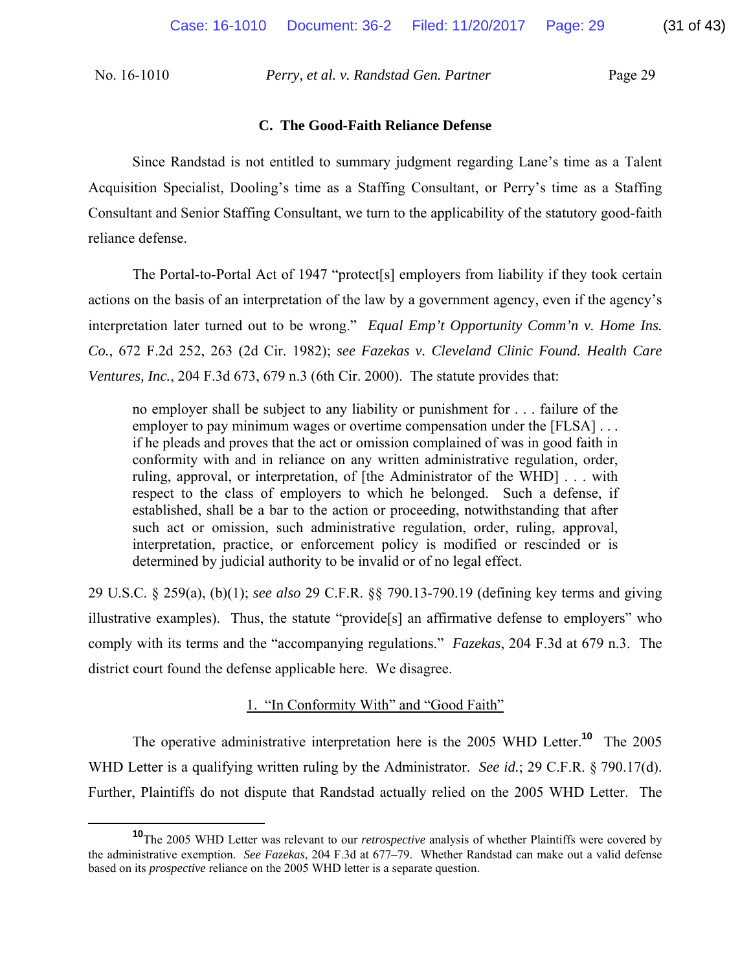#### **C. The Good-Faith Reliance Defense**

Since Randstad is not entitled to summary judgment regarding Lane's time as a Talent Acquisition Specialist, Dooling's time as a Staffing Consultant, or Perry's time as a Staffing Consultant and Senior Staffing Consultant, we turn to the applicability of the statutory good-faith reliance defense.

The Portal-to-Portal Act of 1947 "protect[s] employers from liability if they took certain actions on the basis of an interpretation of the law by a government agency, even if the agency's interpretation later turned out to be wrong." *Equal Emp't Opportunity Comm'n v. Home Ins. Co.*, 672 F.2d 252, 263 (2d Cir. 1982); *see Fazekas v. Cleveland Clinic Found. Health Care Ventures, Inc.*, 204 F.3d 673, 679 n.3 (6th Cir. 2000). The statute provides that:

no employer shall be subject to any liability or punishment for . . . failure of the employer to pay minimum wages or overtime compensation under the [FLSA] ... if he pleads and proves that the act or omission complained of was in good faith in conformity with and in reliance on any written administrative regulation, order, ruling, approval, or interpretation, of [the Administrator of the WHD] . . . with respect to the class of employers to which he belonged. Such a defense, if established, shall be a bar to the action or proceeding, notwithstanding that after such act or omission, such administrative regulation, order, ruling, approval, interpretation, practice, or enforcement policy is modified or rescinded or is determined by judicial authority to be invalid or of no legal effect.

29 U.S.C. § 259(a), (b)(1); *see also* 29 C.F.R. §§ 790.13-790.19 (defining key terms and giving illustrative examples). Thus, the statute "provide[s] an affirmative defense to employers" who comply with its terms and the "accompanying regulations." *Fazekas*, 204 F.3d at 679 n.3. The district court found the defense applicable here. We disagree.

## 1. "In Conformity With" and "Good Faith"

The operative administrative interpretation here is the 2005 WHD Letter.**<sup>10</sup>** The 2005 WHD Letter is a qualifying written ruling by the Administrator. *See id.*; 29 C.F.R. § 790.17(d). Further, Plaintiffs do not dispute that Randstad actually relied on the 2005 WHD Letter. The

**<sup>10</sup>**The 2005 WHD Letter was relevant to our *retrospective* analysis of whether Plaintiffs were covered by the administrative exemption. *See Fazekas*, 204 F.3d at 677–79. Whether Randstad can make out a valid defense based on its *prospective* reliance on the 2005 WHD letter is a separate question.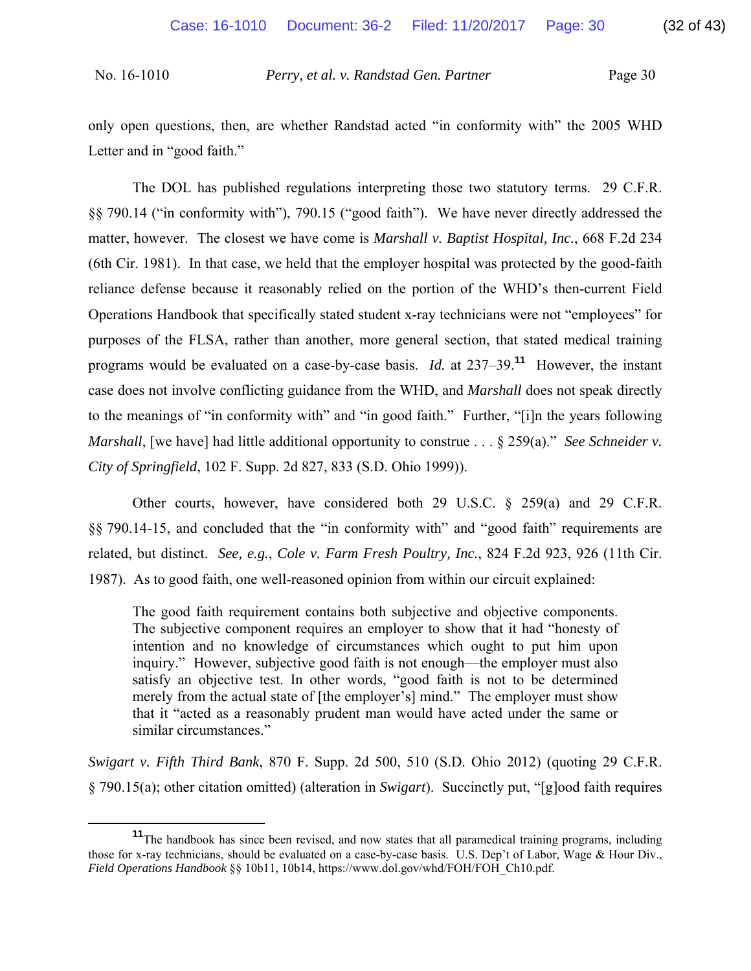only open questions, then, are whether Randstad acted "in conformity with" the 2005 WHD Letter and in "good faith."

The DOL has published regulations interpreting those two statutory terms. 29 C.F.R. §§ 790.14 ("in conformity with"), 790.15 ("good faith"). We have never directly addressed the matter, however. The closest we have come is *Marshall v. Baptist Hospital, Inc.*, 668 F.2d 234 (6th Cir. 1981). In that case, we held that the employer hospital was protected by the good-faith reliance defense because it reasonably relied on the portion of the WHD's then-current Field Operations Handbook that specifically stated student x-ray technicians were not "employees" for purposes of the FLSA, rather than another, more general section, that stated medical training programs would be evaluated on a case-by-case basis. *Id.* at 237–39.**<sup>11</sup>** However, the instant case does not involve conflicting guidance from the WHD, and *Marshall* does not speak directly to the meanings of "in conformity with" and "in good faith." Further, "[i]n the years following *Marshall*, [we have] had little additional opportunity to construe . . . § 259(a)." *See Schneider v. City of Springfield*, 102 F. Supp. 2d 827, 833 (S.D. Ohio 1999)).

Other courts, however, have considered both 29 U.S.C. § 259(a) and 29 C.F.R. §§ 790.14-15, and concluded that the "in conformity with" and "good faith" requirements are related, but distinct. *See, e.g.*, *Cole v. Farm Fresh Poultry, Inc.*, 824 F.2d 923, 926 (11th Cir. 1987). As to good faith, one well-reasoned opinion from within our circuit explained:

The good faith requirement contains both subjective and objective components. The subjective component requires an employer to show that it had "honesty of intention and no knowledge of circumstances which ought to put him upon inquiry." However, subjective good faith is not enough—the employer must also satisfy an objective test. In other words, "good faith is not to be determined merely from the actual state of [the employer's] mind." The employer must show that it "acted as a reasonably prudent man would have acted under the same or similar circumstances."

*Swigart v. Fifth Third Bank*, 870 F. Supp. 2d 500, 510 (S.D. Ohio 2012) (quoting 29 C.F.R. § 790.15(a); other citation omitted) (alteration in *Swigart*). Succinctly put, "[g]ood faith requires

**<sup>11</sup>**The handbook has since been revised, and now states that all paramedical training programs, including those for x-ray technicians, should be evaluated on a case-by-case basis. U.S. Dep't of Labor, Wage & Hour Div., *Field Operations Handbook* §§ 10b11, 10b14, https://www.dol.gov/whd/FOH/FOH\_Ch10.pdf.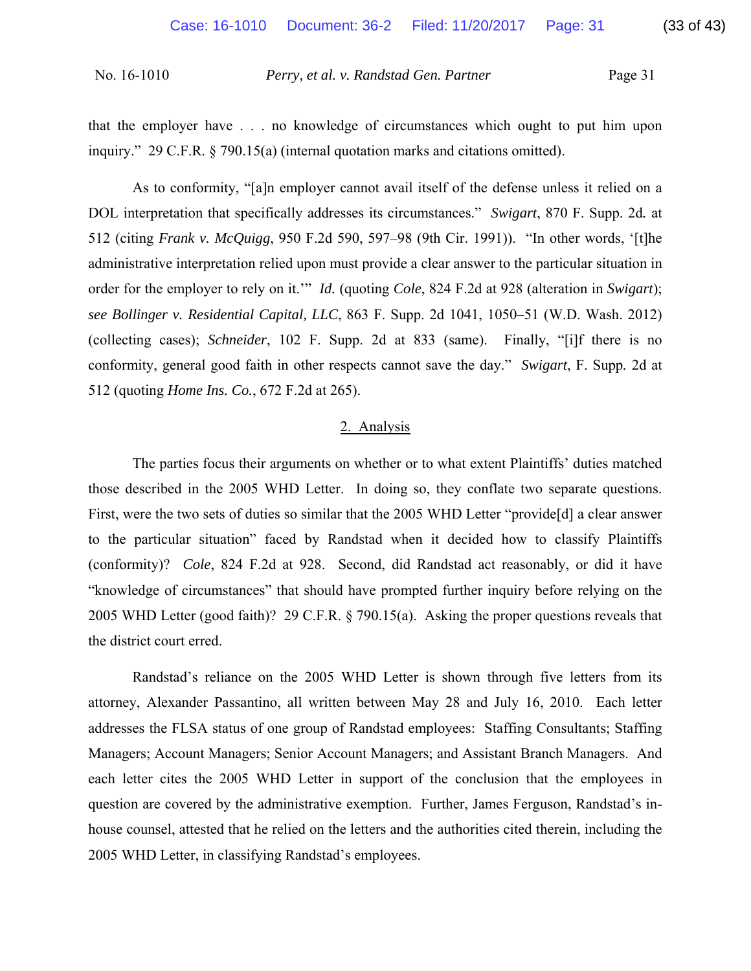that the employer have . . . no knowledge of circumstances which ought to put him upon inquiry." 29 C.F.R. § 790.15(a) (internal quotation marks and citations omitted).

As to conformity, "[a]n employer cannot avail itself of the defense unless it relied on a DOL interpretation that specifically addresses its circumstances." *Swigart*, 870 F. Supp. 2d*.* at 512 (citing *Frank v. McQuigg*, 950 F.2d 590, 597–98 (9th Cir. 1991)). "In other words, '[t]he administrative interpretation relied upon must provide a clear answer to the particular situation in order for the employer to rely on it.'" *Id.* (quoting *Cole*, 824 F.2d at 928 (alteration in *Swigart*); *see Bollinger v. Residential Capital, LLC*, 863 F. Supp. 2d 1041, 1050–51 (W.D. Wash. 2012) (collecting cases); *Schneider*, 102 F. Supp. 2d at 833 (same). Finally, "[i]f there is no conformity, general good faith in other respects cannot save the day." *Swigart*, F. Supp*.* 2d at 512 (quoting *Home Ins. Co.*, 672 F.2d at 265).

### 2. Analysis

The parties focus their arguments on whether or to what extent Plaintiffs' duties matched those described in the 2005 WHD Letter. In doing so, they conflate two separate questions. First, were the two sets of duties so similar that the 2005 WHD Letter "provide[d] a clear answer to the particular situation" faced by Randstad when it decided how to classify Plaintiffs (conformity)? *Cole*, 824 F.2d at 928. Second, did Randstad act reasonably, or did it have "knowledge of circumstances" that should have prompted further inquiry before relying on the 2005 WHD Letter (good faith)? 29 C.F.R. § 790.15(a). Asking the proper questions reveals that the district court erred.

Randstad's reliance on the 2005 WHD Letter is shown through five letters from its attorney, Alexander Passantino, all written between May 28 and July 16, 2010. Each letter addresses the FLSA status of one group of Randstad employees: Staffing Consultants; Staffing Managers; Account Managers; Senior Account Managers; and Assistant Branch Managers. And each letter cites the 2005 WHD Letter in support of the conclusion that the employees in question are covered by the administrative exemption. Further, James Ferguson, Randstad's inhouse counsel, attested that he relied on the letters and the authorities cited therein, including the 2005 WHD Letter, in classifying Randstad's employees.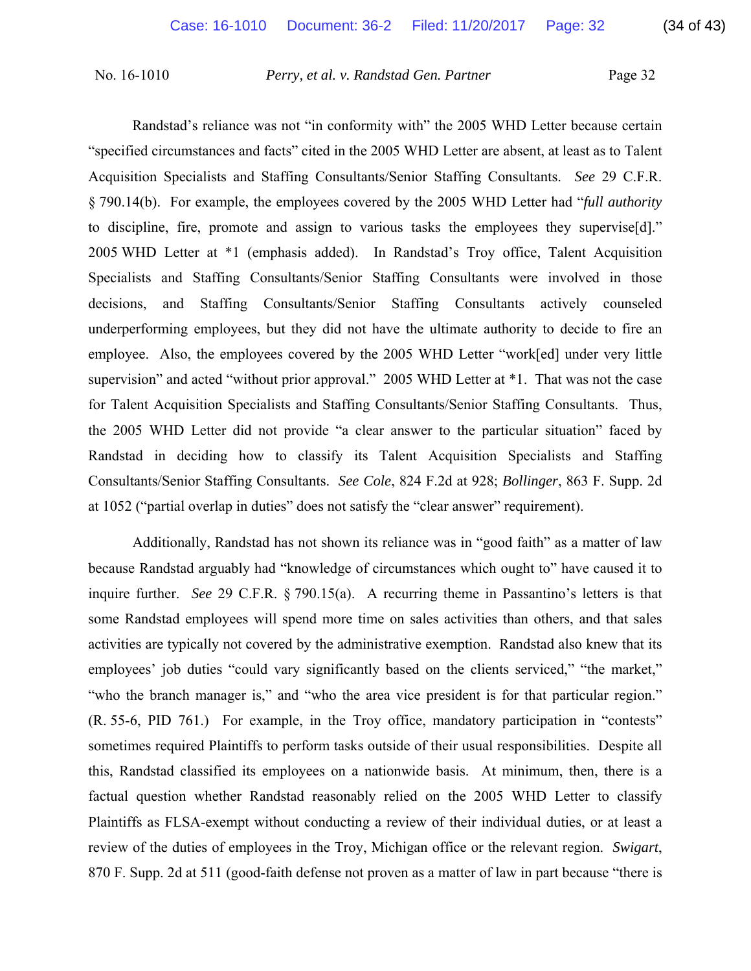Randstad's reliance was not "in conformity with" the 2005 WHD Letter because certain "specified circumstances and facts" cited in the 2005 WHD Letter are absent, at least as to Talent Acquisition Specialists and Staffing Consultants/Senior Staffing Consultants. *See* 29 C.F.R. § 790.14(b). For example, the employees covered by the 2005 WHD Letter had "*full authority* to discipline, fire, promote and assign to various tasks the employees they supervise[d]." 2005 WHD Letter at \*1 (emphasis added). In Randstad's Troy office, Talent Acquisition Specialists and Staffing Consultants/Senior Staffing Consultants were involved in those decisions, and Staffing Consultants/Senior Staffing Consultants actively counseled underperforming employees, but they did not have the ultimate authority to decide to fire an employee. Also, the employees covered by the 2005 WHD Letter "work[ed] under very little supervision" and acted "without prior approval." 2005 WHD Letter at \*1. That was not the case for Talent Acquisition Specialists and Staffing Consultants/Senior Staffing Consultants. Thus, the 2005 WHD Letter did not provide "a clear answer to the particular situation" faced by Randstad in deciding how to classify its Talent Acquisition Specialists and Staffing Consultants/Senior Staffing Consultants. *See Cole*, 824 F.2d at 928; *Bollinger*, 863 F. Supp. 2d at 1052 ("partial overlap in duties" does not satisfy the "clear answer" requirement).

Additionally, Randstad has not shown its reliance was in "good faith" as a matter of law because Randstad arguably had "knowledge of circumstances which ought to" have caused it to inquire further. *See* 29 C.F.R. § 790.15(a). A recurring theme in Passantino's letters is that some Randstad employees will spend more time on sales activities than others, and that sales activities are typically not covered by the administrative exemption. Randstad also knew that its employees' job duties "could vary significantly based on the clients serviced," "the market," "who the branch manager is," and "who the area vice president is for that particular region." (R. 55-6, PID 761.) For example, in the Troy office, mandatory participation in "contests" sometimes required Plaintiffs to perform tasks outside of their usual responsibilities. Despite all this, Randstad classified its employees on a nationwide basis. At minimum, then, there is a factual question whether Randstad reasonably relied on the 2005 WHD Letter to classify Plaintiffs as FLSA-exempt without conducting a review of their individual duties, or at least a review of the duties of employees in the Troy, Michigan office or the relevant region. *Swigart*, 870 F. Supp. 2d at 511 (good-faith defense not proven as a matter of law in part because "there is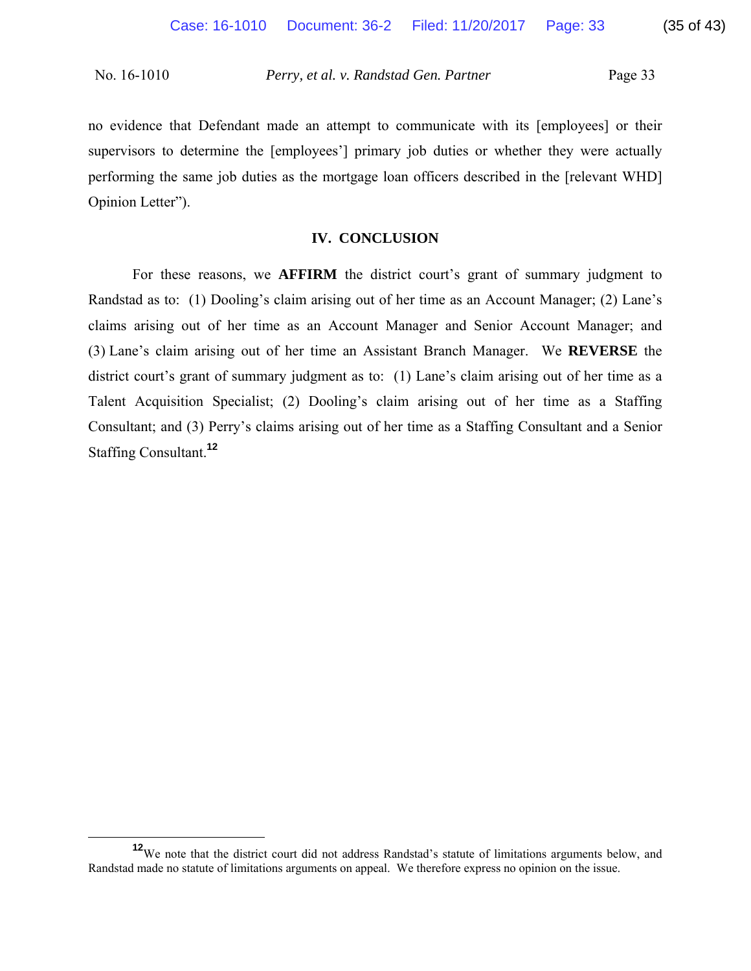no evidence that Defendant made an attempt to communicate with its [employees] or their supervisors to determine the [employees'] primary job duties or whether they were actually performing the same job duties as the mortgage loan officers described in the [relevant WHD] Opinion Letter").

## **IV. CONCLUSION**

For these reasons, we **AFFIRM** the district court's grant of summary judgment to Randstad as to: (1) Dooling's claim arising out of her time as an Account Manager; (2) Lane's claims arising out of her time as an Account Manager and Senior Account Manager; and (3) Lane's claim arising out of her time an Assistant Branch Manager. We **REVERSE** the district court's grant of summary judgment as to: (1) Lane's claim arising out of her time as a Talent Acquisition Specialist; (2) Dooling's claim arising out of her time as a Staffing Consultant; and (3) Perry's claims arising out of her time as a Staffing Consultant and a Senior Staffing Consultant.**<sup>12</sup>**

<sup>&</sup>lt;sup>12</sup>We note that the district court did not address Randstad's statute of limitations arguments below, and Randstad made no statute of limitations arguments on appeal. We therefore express no opinion on the issue.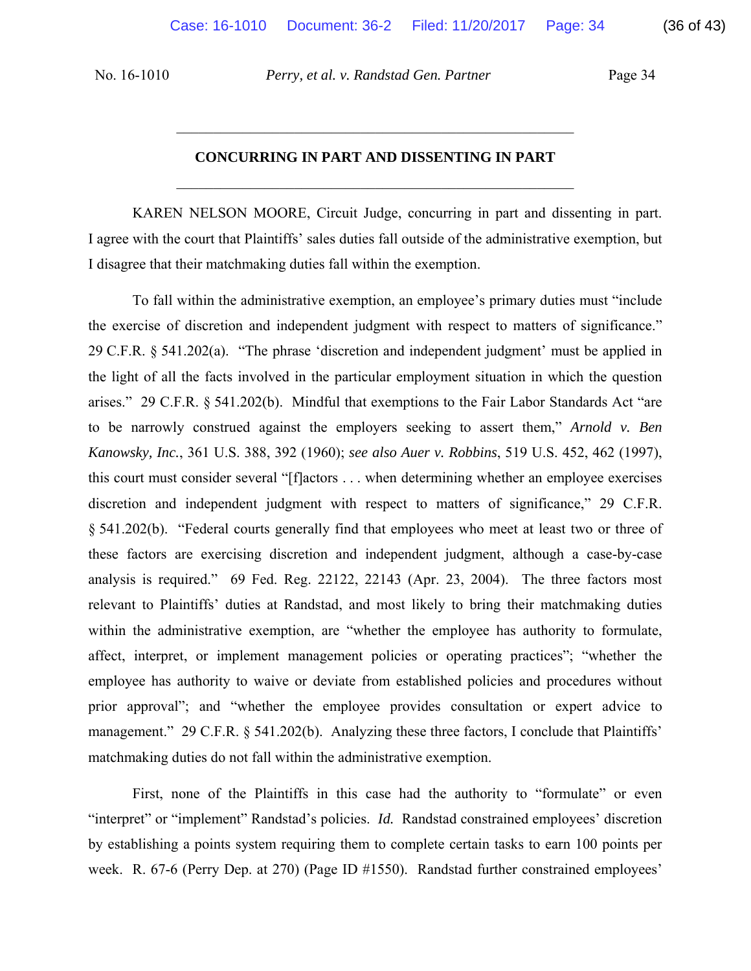# **CONCURRING IN PART AND DISSENTING IN PART**   $\mathcal{L}_\text{max}$  , and the contract of the contract of the contract of the contract of the contract of the contract of the contract of the contract of the contract of the contract of the contract of the contract of the contr

 $\mathcal{L}_\text{max}$  , and the contract of the contract of the contract of the contract of the contract of the contract of the contract of the contract of the contract of the contract of the contract of the contract of the contr

KAREN NELSON MOORE, Circuit Judge, concurring in part and dissenting in part. I agree with the court that Plaintiffs' sales duties fall outside of the administrative exemption, but I disagree that their matchmaking duties fall within the exemption.

To fall within the administrative exemption, an employee's primary duties must "include the exercise of discretion and independent judgment with respect to matters of significance." 29 C.F.R. § 541.202(a). "The phrase 'discretion and independent judgment' must be applied in the light of all the facts involved in the particular employment situation in which the question arises." 29 C.F.R. § 541.202(b). Mindful that exemptions to the Fair Labor Standards Act "are to be narrowly construed against the employers seeking to assert them," *Arnold v. Ben Kanowsky, Inc.*, 361 U.S. 388, 392 (1960); *see also Auer v. Robbins*, 519 U.S. 452, 462 (1997), this court must consider several "[f]actors . . . when determining whether an employee exercises discretion and independent judgment with respect to matters of significance," 29 C.F.R. § 541.202(b). "Federal courts generally find that employees who meet at least two or three of these factors are exercising discretion and independent judgment, although a case-by-case analysis is required." 69 Fed. Reg. 22122, 22143 (Apr. 23, 2004). The three factors most relevant to Plaintiffs' duties at Randstad, and most likely to bring their matchmaking duties within the administrative exemption, are "whether the employee has authority to formulate, affect, interpret, or implement management policies or operating practices"; "whether the employee has authority to waive or deviate from established policies and procedures without prior approval"; and "whether the employee provides consultation or expert advice to management." 29 C.F.R. § 541.202(b). Analyzing these three factors, I conclude that Plaintiffs' matchmaking duties do not fall within the administrative exemption.

First, none of the Plaintiffs in this case had the authority to "formulate" or even "interpret" or "implement" Randstad's policies. *Id.* Randstad constrained employees' discretion by establishing a points system requiring them to complete certain tasks to earn 100 points per week. R. 67-6 (Perry Dep. at 270) (Page ID #1550). Randstad further constrained employees'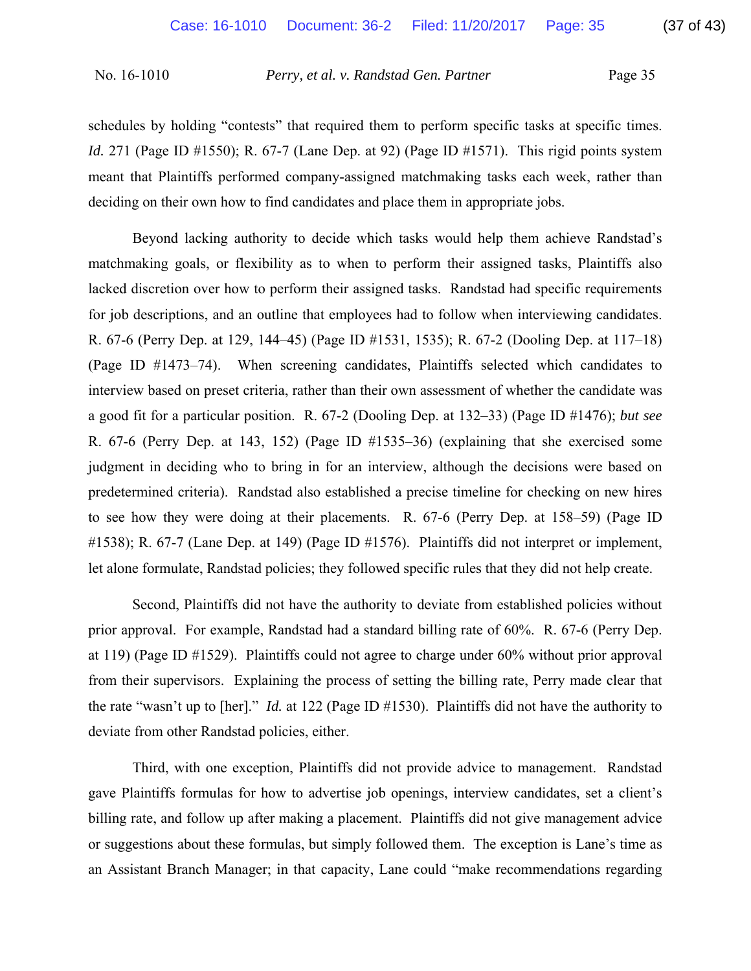schedules by holding "contests" that required them to perform specific tasks at specific times. *Id.* 271 (Page ID #1550); R. 67-7 (Lane Dep. at 92) (Page ID #1571). This rigid points system meant that Plaintiffs performed company-assigned matchmaking tasks each week, rather than deciding on their own how to find candidates and place them in appropriate jobs.

Beyond lacking authority to decide which tasks would help them achieve Randstad's matchmaking goals, or flexibility as to when to perform their assigned tasks, Plaintiffs also lacked discretion over how to perform their assigned tasks. Randstad had specific requirements for job descriptions, and an outline that employees had to follow when interviewing candidates. R. 67-6 (Perry Dep. at 129, 144–45) (Page ID #1531, 1535); R. 67-2 (Dooling Dep. at 117–18) (Page ID #1473–74). When screening candidates, Plaintiffs selected which candidates to interview based on preset criteria, rather than their own assessment of whether the candidate was a good fit for a particular position. R. 67-2 (Dooling Dep. at 132–33) (Page ID #1476); *but see* R. 67-6 (Perry Dep. at 143, 152) (Page ID #1535–36) (explaining that she exercised some judgment in deciding who to bring in for an interview, although the decisions were based on predetermined criteria). Randstad also established a precise timeline for checking on new hires to see how they were doing at their placements. R. 67-6 (Perry Dep. at 158–59) (Page ID #1538); R. 67-7 (Lane Dep. at 149) (Page ID #1576). Plaintiffs did not interpret or implement, let alone formulate, Randstad policies; they followed specific rules that they did not help create.

Second, Plaintiffs did not have the authority to deviate from established policies without prior approval. For example, Randstad had a standard billing rate of 60%. R. 67-6 (Perry Dep. at 119) (Page ID #1529). Plaintiffs could not agree to charge under 60% without prior approval from their supervisors. Explaining the process of setting the billing rate, Perry made clear that the rate "wasn't up to [her]." *Id.* at 122 (Page ID #1530). Plaintiffs did not have the authority to deviate from other Randstad policies, either.

Third, with one exception, Plaintiffs did not provide advice to management. Randstad gave Plaintiffs formulas for how to advertise job openings, interview candidates, set a client's billing rate, and follow up after making a placement. Plaintiffs did not give management advice or suggestions about these formulas, but simply followed them. The exception is Lane's time as an Assistant Branch Manager; in that capacity, Lane could "make recommendations regarding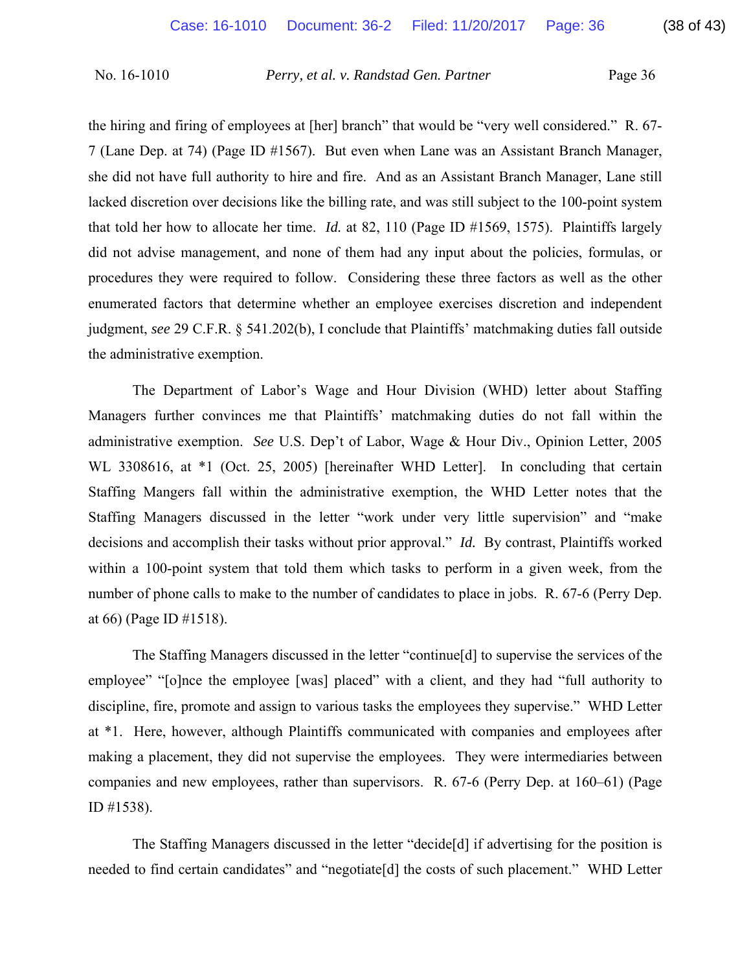the hiring and firing of employees at [her] branch" that would be "very well considered." R. 67- 7 (Lane Dep. at 74) (Page ID #1567). But even when Lane was an Assistant Branch Manager, she did not have full authority to hire and fire. And as an Assistant Branch Manager, Lane still lacked discretion over decisions like the billing rate, and was still subject to the 100-point system that told her how to allocate her time. *Id.* at 82, 110 (Page ID #1569, 1575). Plaintiffs largely did not advise management, and none of them had any input about the policies, formulas, or procedures they were required to follow. Considering these three factors as well as the other enumerated factors that determine whether an employee exercises discretion and independent judgment, *see* 29 C.F.R. § 541.202(b), I conclude that Plaintiffs' matchmaking duties fall outside the administrative exemption.

The Department of Labor's Wage and Hour Division (WHD) letter about Staffing Managers further convinces me that Plaintiffs' matchmaking duties do not fall within the administrative exemption. *See* U.S. Dep't of Labor, Wage & Hour Div., Opinion Letter, 2005 WL 3308616, at  $*1$  (Oct. 25, 2005) [hereinafter WHD Letter]. In concluding that certain Staffing Mangers fall within the administrative exemption, the WHD Letter notes that the Staffing Managers discussed in the letter "work under very little supervision" and "make decisions and accomplish their tasks without prior approval." *Id.* By contrast, Plaintiffs worked within a 100-point system that told them which tasks to perform in a given week, from the number of phone calls to make to the number of candidates to place in jobs. R. 67-6 (Perry Dep. at 66) (Page ID #1518).

The Staffing Managers discussed in the letter "continue[d] to supervise the services of the employee" "[o]nce the employee [was] placed" with a client, and they had "full authority to discipline, fire, promote and assign to various tasks the employees they supervise." WHD Letter at \*1. Here, however, although Plaintiffs communicated with companies and employees after making a placement, they did not supervise the employees. They were intermediaries between companies and new employees, rather than supervisors. R. 67-6 (Perry Dep. at 160–61) (Page ID #1538).

The Staffing Managers discussed in the letter "decide[d] if advertising for the position is needed to find certain candidates" and "negotiate[d] the costs of such placement." WHD Letter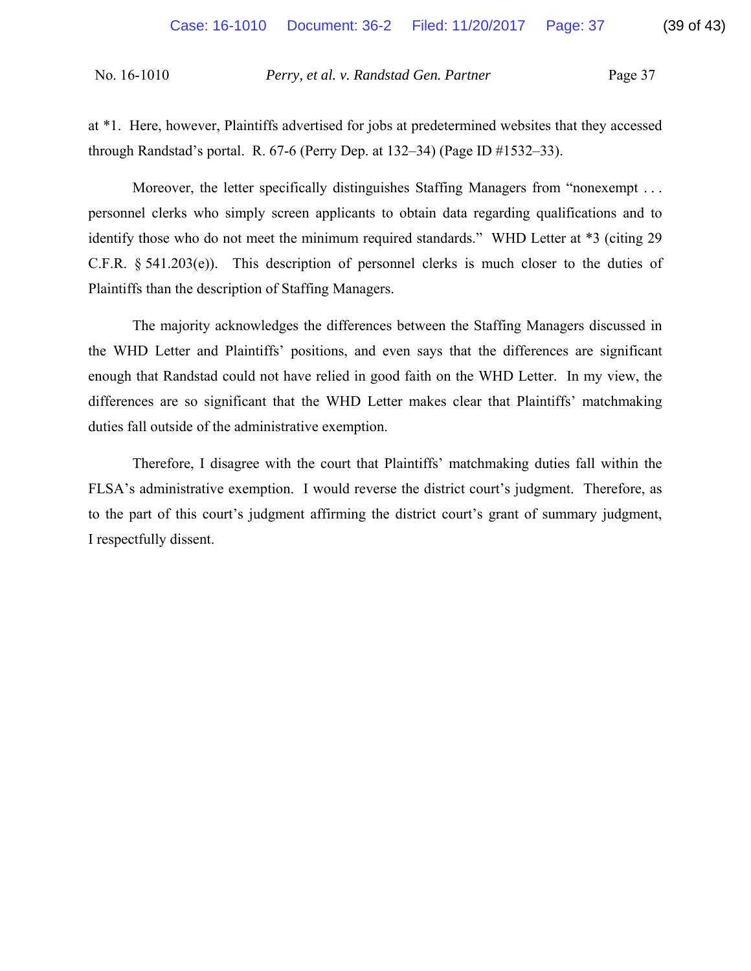through Randstad's portal. R. 67-6 (Perry Dep. at 132–34) (Page ID #1532–33).

at \*1. Here, however, Plaintiffs advertised for jobs at predetermined websites that they accessed

Moreover, the letter specifically distinguishes Staffing Managers from "nonexempt ... personnel clerks who simply screen applicants to obtain data regarding qualifications and to identify those who do not meet the minimum required standards." WHD Letter at \*3 (citing 29 C.F.R. § 541.203(e)). This description of personnel clerks is much closer to the duties of Plaintiffs than the description of Staffing Managers.

The majority acknowledges the differences between the Staffing Managers discussed in the WHD Letter and Plaintiffs' positions, and even says that the differences are significant enough that Randstad could not have relied in good faith on the WHD Letter. In my view, the differences are so significant that the WHD Letter makes clear that Plaintiffs' matchmaking duties fall outside of the administrative exemption.

Therefore, I disagree with the court that Plaintiffs' matchmaking duties fall within the FLSA's administrative exemption. I would reverse the district court's judgment. Therefore, as to the part of this court's judgment affirming the district court's grant of summary judgment, I respectfully dissent.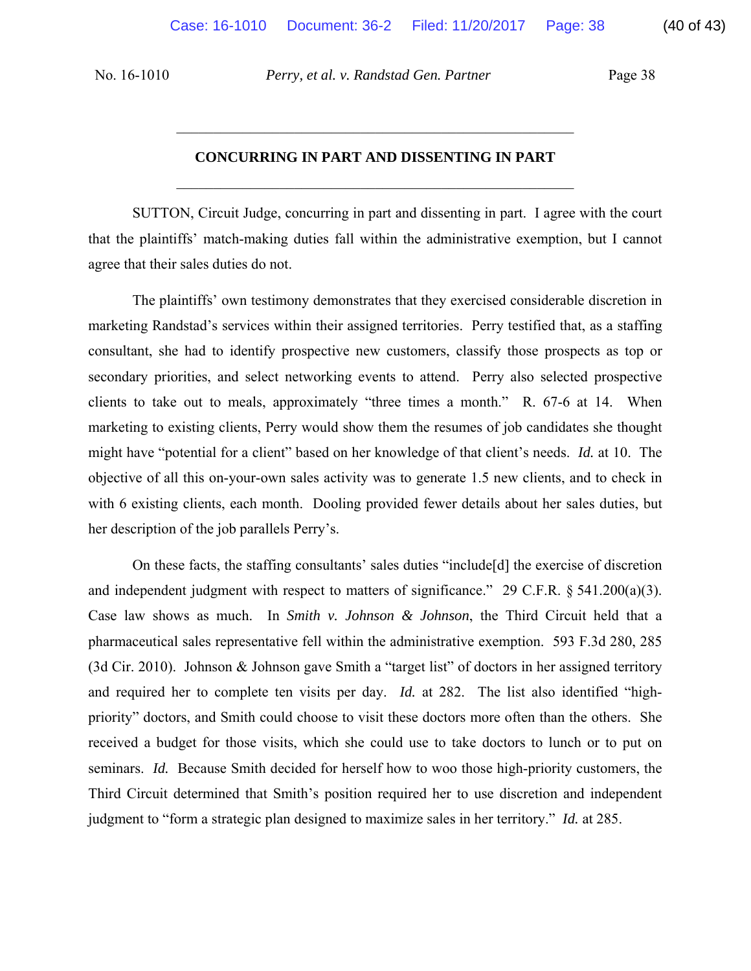# **CONCURRING IN PART AND DISSENTING IN PART**   $\mathcal{L}_\text{max}$  , and the contract of the contract of the contract of the contract of the contract of the contract of the contract of the contract of the contract of the contract of the contract of the contract of the contr

 $\mathcal{L}_\text{max}$  , and the contract of the contract of the contract of the contract of the contract of the contract of the contract of the contract of the contract of the contract of the contract of the contract of the contr

SUTTON, Circuit Judge, concurring in part and dissenting in part. I agree with the court that the plaintiffs' match-making duties fall within the administrative exemption, but I cannot agree that their sales duties do not.

The plaintiffs' own testimony demonstrates that they exercised considerable discretion in marketing Randstad's services within their assigned territories. Perry testified that, as a staffing consultant, she had to identify prospective new customers, classify those prospects as top or secondary priorities, and select networking events to attend. Perry also selected prospective clients to take out to meals, approximately "three times a month." R. 67-6 at 14. When marketing to existing clients, Perry would show them the resumes of job candidates she thought might have "potential for a client" based on her knowledge of that client's needs. *Id.* at 10. The objective of all this on-your-own sales activity was to generate 1.5 new clients, and to check in with 6 existing clients, each month. Dooling provided fewer details about her sales duties, but her description of the job parallels Perry's.

On these facts, the staffing consultants' sales duties "include[d] the exercise of discretion and independent judgment with respect to matters of significance." 29 C.F.R. § 541.200(a)(3). Case law shows as much. In *Smith v. Johnson & Johnson*, the Third Circuit held that a pharmaceutical sales representative fell within the administrative exemption. 593 F.3d 280, 285 (3d Cir. 2010). Johnson & Johnson gave Smith a "target list" of doctors in her assigned territory and required her to complete ten visits per day. *Id.* at 282. The list also identified "highpriority" doctors, and Smith could choose to visit these doctors more often than the others. She received a budget for those visits, which she could use to take doctors to lunch or to put on seminars. *Id.* Because Smith decided for herself how to woo those high-priority customers, the Third Circuit determined that Smith's position required her to use discretion and independent judgment to "form a strategic plan designed to maximize sales in her territory." *Id.* at 285.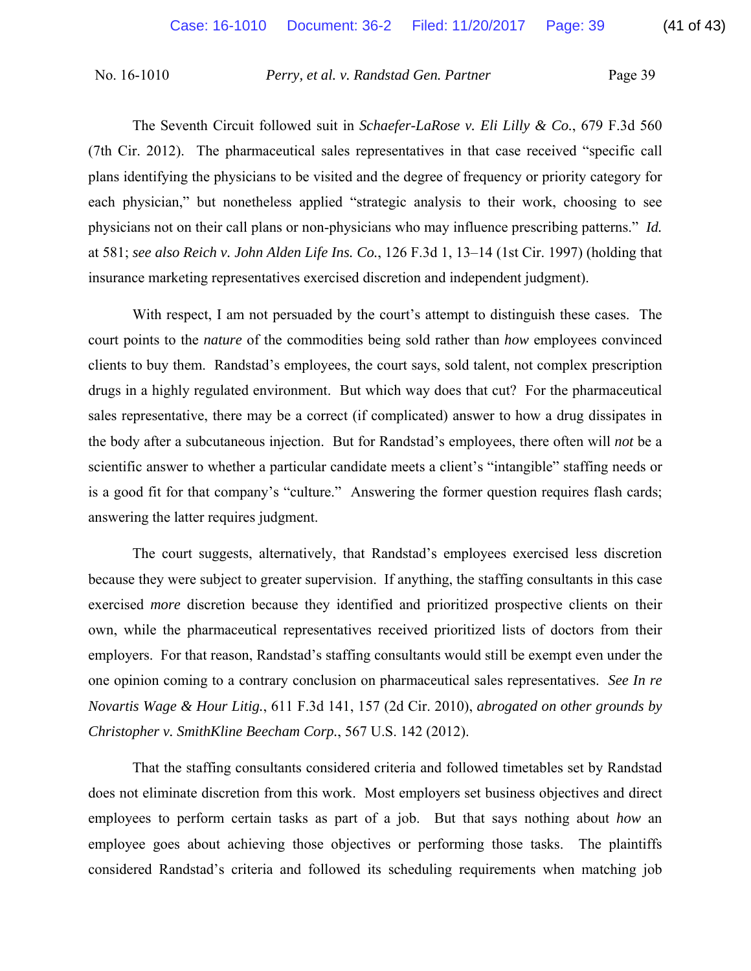The Seventh Circuit followed suit in *Schaefer-LaRose v. Eli Lilly & Co.*, 679 F.3d 560 (7th Cir. 2012). The pharmaceutical sales representatives in that case received "specific call plans identifying the physicians to be visited and the degree of frequency or priority category for each physician," but nonetheless applied "strategic analysis to their work, choosing to see physicians not on their call plans or non-physicians who may influence prescribing patterns." *Id.*  at 581; *see also Reich v. John Alden Life Ins. Co.*, 126 F.3d 1, 13–14 (1st Cir. 1997) (holding that insurance marketing representatives exercised discretion and independent judgment).

With respect, I am not persuaded by the court's attempt to distinguish these cases. The court points to the *nature* of the commodities being sold rather than *how* employees convinced clients to buy them. Randstad's employees, the court says, sold talent, not complex prescription drugs in a highly regulated environment. But which way does that cut? For the pharmaceutical sales representative, there may be a correct (if complicated) answer to how a drug dissipates in the body after a subcutaneous injection. But for Randstad's employees, there often will *not* be a scientific answer to whether a particular candidate meets a client's "intangible" staffing needs or is a good fit for that company's "culture." Answering the former question requires flash cards; answering the latter requires judgment.

The court suggests, alternatively, that Randstad's employees exercised less discretion because they were subject to greater supervision.If anything, the staffing consultants in this case exercised *more* discretion because they identified and prioritized prospective clients on their own, while the pharmaceutical representatives received prioritized lists of doctors from their employers. For that reason, Randstad's staffing consultants would still be exempt even under the one opinion coming to a contrary conclusion on pharmaceutical sales representatives. *See In re Novartis Wage & Hour Litig.*, 611 F.3d 141, 157 (2d Cir. 2010), *abrogated on other grounds by Christopher v. SmithKline Beecham Corp.*, 567 U.S. 142 (2012).

That the staffing consultants considered criteria and followed timetables set by Randstad does not eliminate discretion from this work. Most employers set business objectives and direct employees to perform certain tasks as part of a job. But that says nothing about *how* an employee goes about achieving those objectives or performing those tasks.The plaintiffs considered Randstad's criteria and followed its scheduling requirements when matching job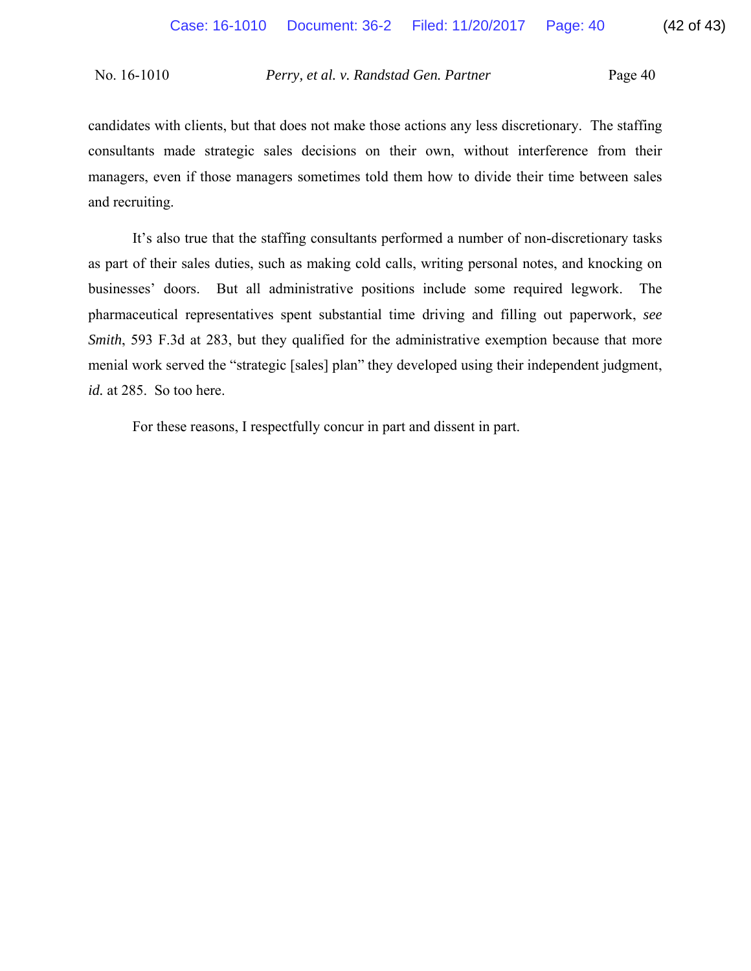candidates with clients, but that does not make those actions any less discretionary. The staffing consultants made strategic sales decisions on their own, without interference from their managers, even if those managers sometimes told them how to divide their time between sales and recruiting.

It's also true that the staffing consultants performed a number of non-discretionary tasks as part of their sales duties, such as making cold calls, writing personal notes, and knocking on businesses' doors. But all administrative positions include some required legwork. The pharmaceutical representatives spent substantial time driving and filling out paperwork, *see Smith*, 593 F.3d at 283, but they qualified for the administrative exemption because that more menial work served the "strategic [sales] plan" they developed using their independent judgment, *id.* at 285. So too here.

For these reasons, I respectfully concur in part and dissent in part.